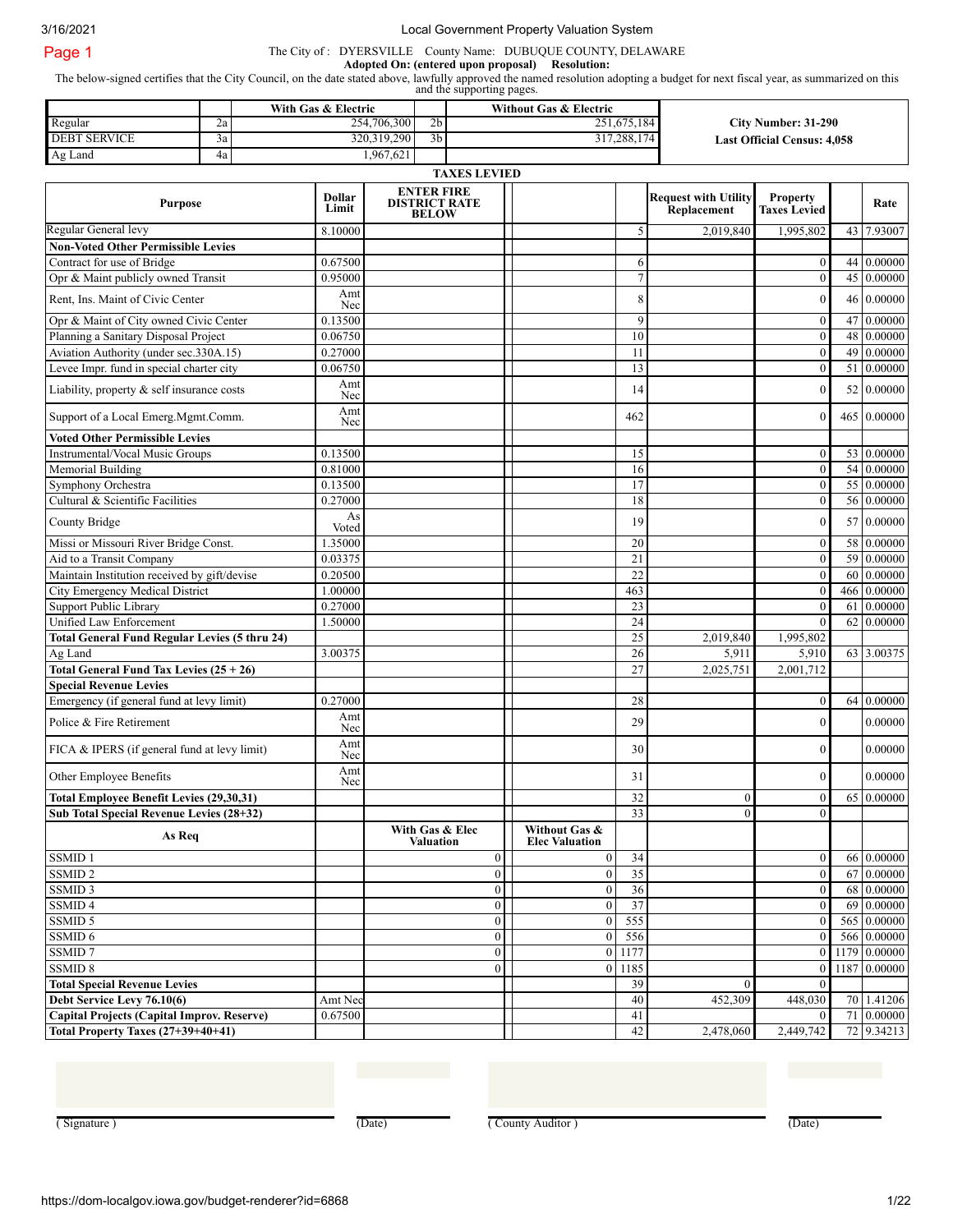3/16/2021 Local Government Property Valuation System

The City of : DYERSVILLE County Name: DUBUQUE COUNTY, DELAWARE

**Adopted On: (entered upon proposal) Resolution:** The below-signed certifies that the City Council, on the date stated above, lawfully approved the named resolution adopting a budget for next fiscal year, as summarized on this

and the supporting pages.

|                     |     | With Gas & Electric |                | Without Gas & Electric |                                    |
|---------------------|-----|---------------------|----------------|------------------------|------------------------------------|
| Regular             | Ζa  | 254,706,300         | 2 <sub>b</sub> | 251,675,184            | City Number: 31-290                |
| <b>DEBT SERVICE</b> | 3a' | 320,319,290         | 3 <sub>b</sub> | 317,288,174            | <b>Last Official Census: 4.058</b> |
| Ag Land             | 4a  | .967,621            |                |                        |                                    |

### Regular General levy **TAXES LEVIED Purpose Dollar Limit ENTER FIRE DISTRICT RATE BELOW Request with Utility Replacement Property Taxes Levied** Rate 8.10000 1 1 1 5 2,019,840 1,995,802 43 7.93007 **Non-Voted Other Permissible Levies** Contract for use of Bridge  $\begin{bmatrix} 0.67500 \end{bmatrix}$  (0.67500  $\begin{bmatrix} 0.67500 \end{bmatrix}$  6 0 44 0.00000 Opr & Maint publicly owned Transit 0.95000 7 0 45 0.00000 Rent, Ins. Maint of Civic Center Amt Nec <sup>8</sup> <sup>0</sup> <sup>46</sup> 0.00000 Opr & Maint of City owned Civic Center 0.13500 0.13500 9 0 47 0.00000 Planning a Sanitary Disposal Project 1 0.06750 10 0.06750 10 10 10 0 48 0.00000 Aviation Authority (under sec.330A.15) 0.27000 0.27000 11 11 0 49 0.00000 11 0 49 0.00000 Levee Impr. fund in special charter city  $0.06750$  0.00000 13 0 51 0.00000 Liability, property & self insurance costs Amt  $Nec$  14 0 52 0.00000 Support of a Local Emerg.Mgmt.Comm. Amt  $N_{\text{sec}}$  0 465 0.00000  $(462)$  0 465 0.00000 **Voted Other Permissible Levies** Instrumental/Vocal Music Groups 0.13500 15 0.00000 15 0.00000 15 0 53 0.00000 Memorial Building 0.81000 16 0 54 0.00000 Symphony Orchestra 0.13500 17 0 55 0.00000 Cultural & Scientific Facilities 0.27000 18 0 56 0.00000 County Bridge As As Noted  $V_{\text{oted}}$  19 0.00000  $\begin{vmatrix} 19 & 19 \\ 19 & 0 \end{vmatrix}$  57 0.00000 Missi or Missouri River Bridge Const. 1.35000  $\sqrt{20}$  20 0 58 0.00000 Aid to a Transit Company 2010 2010 21 0.03375 21 0.00000 21 0 59 0.00000 21 0 59 0.00000 Maintain Institution received by gift/devise  $\begin{bmatrix} 0.20500 \end{bmatrix}$   $\begin{bmatrix} 22 \end{bmatrix}$   $\begin{bmatrix} 22 \end{bmatrix}$   $\begin{bmatrix} 60 \end{bmatrix}$   $\begin{bmatrix} 0.00000 \end{bmatrix}$ City Emergency Medical District 1.00000 1.00000 463 0 463 0 466 0.00000 Support Public Library 0.27000 23 0 61 0.00000 Unified Law Enforcement 1.50000 1.50000 24 24 0 62 0.00000 **Total General Fund Regular Levies (5 thru 24)** 25 2,019,840 1,995,802 Ag Land 3.00375 26 3.00375 26 3.00375 26 3.00375 26 3.00375 26 3.00375 26 3.00375 **Total General Fund Tax Levies (25 + 26)** 27 2,025,751 2,001,712 **Special Revenue Levies** Emergency (if general fund at levy limit)  $0.27000$  28 28 0.00000 0 64 0.00000 Police & Fire Retirement Amt  $N_{\text{sec}}$  0 0.000000  $\frac{1}{29}$  29 0.00000 0.00000 0.00000 0.00000 0.0000 0.0000 0.0000 0.0000 0.000 0.000 0.000 0.000 0.000 0.000 0.000 0.000 0.000 0.000 0.000 0.000 0.000 0.000 0.000 0.000 0.000 0.000 0.000 0.000 0.000 FICA & IPERS (if general fund at levy limit)  $\begin{array}{c} \text{Amt} \\ \text{Nec} \end{array}$  $N_{\text{sec}}$  0 0.000000 0 0.000000 0 0.00000 0 0.00000 0 0.00000 0 0.00000 0 0.00000 0 0.0000 0 0.0000 0 0.000 0 0.000 0 0.000 0 0.000 0 0.000 0 0.000 0 0.000 0 0.000 0 0.000 0 0.000 0 0.000 0 0.000 0 0.000 0 0.000 0 0.000 0 Other Employee Benefits **Amt** Amt Nec <sup>31</sup> <sup>0</sup> 0.00000 **Total Employee Benefit Levies (29,30,31)** 32 0 0 65 0.00000 **Sub Total Special Revenue Levies (28+32)** 33 0 0 **As Req With Gas & Elec Valuation Without Gas & Elec Valuation** SSMID 1 0 0 66 0.00000 0 0 0  $\vert$  0 0 34 0 0 66 0.00000 SSMID 2 0 0 67 0.00000 0 67 0.00000 0  $\vert$  0 35 0 67 0.00000 SSMID 3 0 0 36 0.00000 0  $\begin{array}{ccc|c} \hline \text{SMD 3} & 0 & 36 \end{array}$  0 36 0.00000 SSMID 4 0 0 37 0 69 0.00000 SSMID 5 0 0 555 0 565 0.00000 SSMID 6 0 0 556 0 566 0.00000 SSMID 7 0 0 1179 0.00000 0 0 0 1177 0 0 1179 0.00000 0 0 1179 0.00000 0 0 1179 0.00000 0 0 1179 0.00000 0 0 11 SSMID 8 0 1187 0.00000 0 1187 0.00000 0 1187 0 1187 0.00000 0 1187 0.00000 0 1187 0.00000 0 1187 0.00000 0 1187 **Total Special Revenue Levies** 39 0 0 **Debt Service Levy 76.10(6)** Amt Nec 40 4652,309 448,030 70 1.41206 **Capital Projects (Capital Improv. Reserve)** 0.67500 0.67500 0.67500 0.67500 0.67500 0.67500 0.67500 0.67500 0.67500 0.67500 0.67500 0.67500 0.67500 0.67500 0.67500 0.67500 0.67500 0.67500 0.67500 0.67500 0.67500 0.67500 0 **Total Property Taxes (27+39+40+41)**  $\begin{vmatrix} 1 & 1 & 2 & 42 \\ 2 & 478,060 & 2,449,742 & 72 & 9.34213 \end{vmatrix}$

(Signature) (Date) (Date) (County Auditor) (County Auditor) (Date)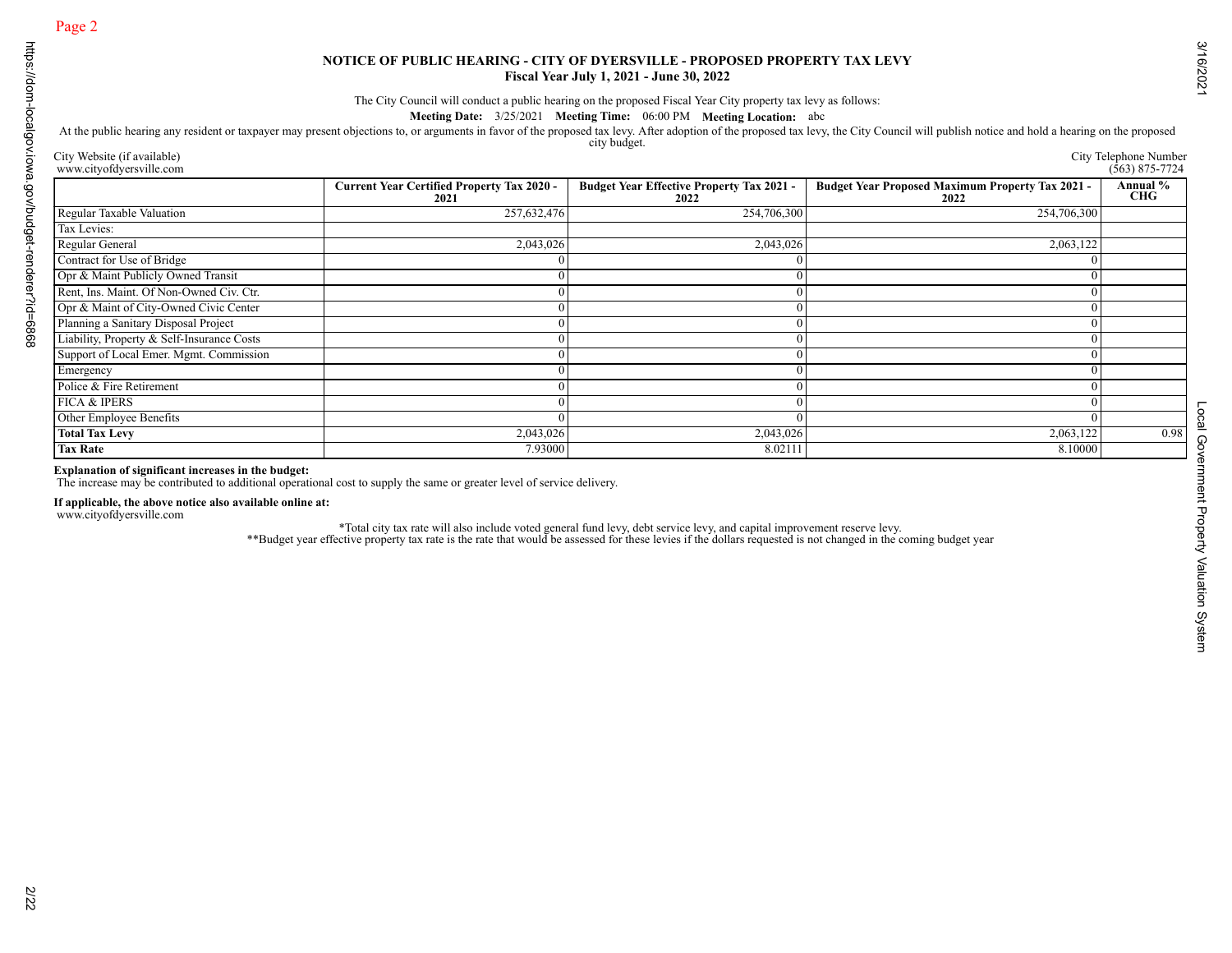| City Website (if available)<br>www.cityofdyersville.com                                                                                                                                                             |                                                                                                                                                                                                                                   |                                                  | At the public hearing any resident or taxpayer may present objections to, or arguments in favor of the proposed tax levy. After adoption of the proposed tax levy, the City Council will publish notice and hold a hearing on | City Telephone Number<br>$(563)$ 875-7724 |
|---------------------------------------------------------------------------------------------------------------------------------------------------------------------------------------------------------------------|-----------------------------------------------------------------------------------------------------------------------------------------------------------------------------------------------------------------------------------|--------------------------------------------------|-------------------------------------------------------------------------------------------------------------------------------------------------------------------------------------------------------------------------------|-------------------------------------------|
|                                                                                                                                                                                                                     | <b>Current Year Certified Property Tax 2020 -</b>                                                                                                                                                                                 | <b>Budget Year Effective Property Tax 2021 -</b> | <b>Budget Year Proposed Maximum Property Tax 2021 -</b><br>2022                                                                                                                                                               | Annual %<br><b>CHG</b>                    |
| Regular Taxable Valuation                                                                                                                                                                                           | 2021<br>257,632,476                                                                                                                                                                                                               | 2022<br>254,706,300                              | 254,706,300                                                                                                                                                                                                                   |                                           |
| Tax Levies:                                                                                                                                                                                                         |                                                                                                                                                                                                                                   |                                                  |                                                                                                                                                                                                                               |                                           |
| Regular General                                                                                                                                                                                                     | 2,043,026                                                                                                                                                                                                                         | 2,043,026                                        | 2,063,122                                                                                                                                                                                                                     |                                           |
| Contract for Use of Bridge                                                                                                                                                                                          | $\theta$                                                                                                                                                                                                                          | $\theta$                                         | $\overline{0}$                                                                                                                                                                                                                |                                           |
| Opr & Maint Publicly Owned Transit                                                                                                                                                                                  | $\Omega$                                                                                                                                                                                                                          | $\Omega$                                         | $\mathbf{0}$                                                                                                                                                                                                                  |                                           |
| Rent, Ins. Maint. Of Non-Owned Civ. Ctr.                                                                                                                                                                            | $\bf{0}$                                                                                                                                                                                                                          | $\overline{0}$                                   | $\overline{0}$                                                                                                                                                                                                                |                                           |
| Opr & Maint of City-Owned Civic Center                                                                                                                                                                              | $\theta$                                                                                                                                                                                                                          | $\theta$                                         | $\mathbf{0}$                                                                                                                                                                                                                  |                                           |
|                                                                                                                                                                                                                     |                                                                                                                                                                                                                                   |                                                  |                                                                                                                                                                                                                               |                                           |
| Planning a Sanitary Disposal Project<br>Liability, Property & Self-Insurance Costs                                                                                                                                  | $\bf{0}$                                                                                                                                                                                                                          | $\overline{0}$                                   | $\overline{0}$                                                                                                                                                                                                                |                                           |
|                                                                                                                                                                                                                     | $\bf{0}$                                                                                                                                                                                                                          | $\Omega$                                         | $\overline{0}$                                                                                                                                                                                                                |                                           |
| Support of Local Emer. Mgmt. Commission                                                                                                                                                                             | $\bf{0}$                                                                                                                                                                                                                          | $\overline{0}$                                   | $\overline{0}$                                                                                                                                                                                                                |                                           |
| Emergency                                                                                                                                                                                                           | $\bf{0}$                                                                                                                                                                                                                          | 0                                                | $\overline{0}$                                                                                                                                                                                                                |                                           |
| Police & Fire Retirement                                                                                                                                                                                            | $\bf{0}$                                                                                                                                                                                                                          | $\Omega$                                         | $\overline{0}$                                                                                                                                                                                                                |                                           |
| <b>FICA &amp; IPERS</b>                                                                                                                                                                                             | $\overline{0}$                                                                                                                                                                                                                    | $\overline{0}$                                   | $\overline{0}$                                                                                                                                                                                                                |                                           |
|                                                                                                                                                                                                                     |                                                                                                                                                                                                                                   |                                                  | $\theta$                                                                                                                                                                                                                      |                                           |
|                                                                                                                                                                                                                     | $\Omega$                                                                                                                                                                                                                          | $\Omega$                                         |                                                                                                                                                                                                                               |                                           |
|                                                                                                                                                                                                                     | 2,043,026                                                                                                                                                                                                                         | 2,043,026                                        | 2,063,122                                                                                                                                                                                                                     |                                           |
|                                                                                                                                                                                                                     | 7.93000<br>The increase may be contributed to additional operational cost to supply the same or greater level of service delivery.                                                                                                | 8.02111                                          | 8.10000                                                                                                                                                                                                                       |                                           |
|                                                                                                                                                                                                                     |                                                                                                                                                                                                                                   |                                                  |                                                                                                                                                                                                                               |                                           |
|                                                                                                                                                                                                                     | *Total city tax rate will also include voted general fund levy, debt service levy, and capital improvement reserve levy.<br>*Budget year effective property tax rate is the rate that would be assessed for these levies if the d |                                                  |                                                                                                                                                                                                                               |                                           |
|                                                                                                                                                                                                                     |                                                                                                                                                                                                                                   |                                                  |                                                                                                                                                                                                                               |                                           |
| Other Employee Benefits<br><b>Total Tax Levy</b><br><b>Tax Rate</b><br>Explanation of significant increases in the budget:<br>If applicable, the above notice also available online at:<br>www.cityofdyersville.com |                                                                                                                                                                                                                                   |                                                  |                                                                                                                                                                                                                               | 0.98                                      |
|                                                                                                                                                                                                                     |                                                                                                                                                                                                                                   |                                                  |                                                                                                                                                                                                                               |                                           |
|                                                                                                                                                                                                                     |                                                                                                                                                                                                                                   |                                                  |                                                                                                                                                                                                                               |                                           |
|                                                                                                                                                                                                                     |                                                                                                                                                                                                                                   |                                                  |                                                                                                                                                                                                                               |                                           |
|                                                                                                                                                                                                                     |                                                                                                                                                                                                                                   |                                                  |                                                                                                                                                                                                                               |                                           |
|                                                                                                                                                                                                                     |                                                                                                                                                                                                                                   |                                                  |                                                                                                                                                                                                                               |                                           |
|                                                                                                                                                                                                                     |                                                                                                                                                                                                                                   |                                                  |                                                                                                                                                                                                                               |                                           |
|                                                                                                                                                                                                                     |                                                                                                                                                                                                                                   |                                                  |                                                                                                                                                                                                                               |                                           |
|                                                                                                                                                                                                                     |                                                                                                                                                                                                                                   |                                                  |                                                                                                                                                                                                                               |                                           |
|                                                                                                                                                                                                                     |                                                                                                                                                                                                                                   |                                                  |                                                                                                                                                                                                                               |                                           |
|                                                                                                                                                                                                                     |                                                                                                                                                                                                                                   |                                                  |                                                                                                                                                                                                                               |                                           |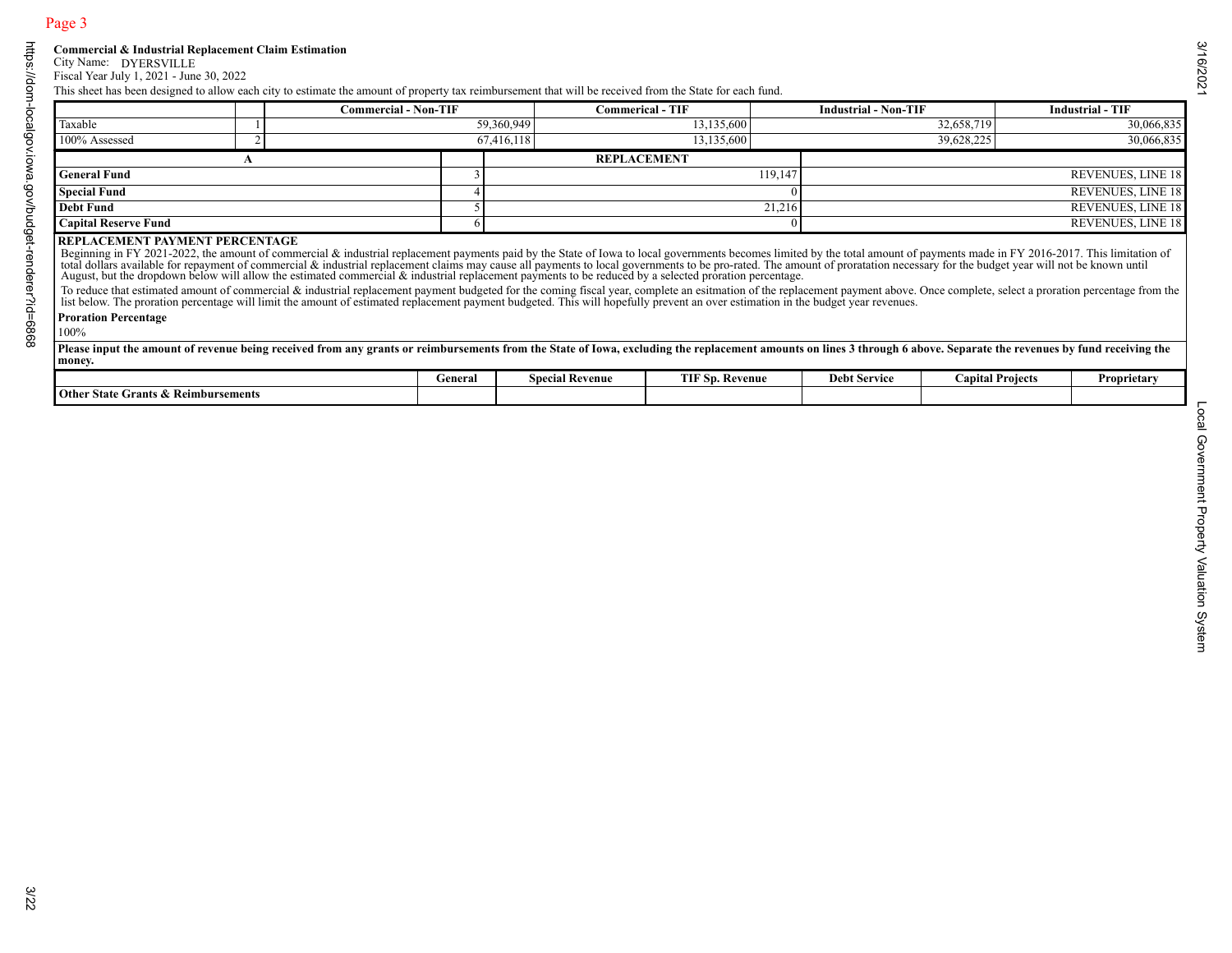|                                                |   | <b>Commercial - Non-TIF</b> |                |                        | <b>Commerical - TIF</b>                                                                                                                                                                                                                                                                                                                                                                                                                                                                                                                                                                                                                                                                                                                                                                                                                                                        | <b>Industrial - Non-TIF</b> |                         | <b>Industrial - TIF</b>  |
|------------------------------------------------|---|-----------------------------|----------------|------------------------|--------------------------------------------------------------------------------------------------------------------------------------------------------------------------------------------------------------------------------------------------------------------------------------------------------------------------------------------------------------------------------------------------------------------------------------------------------------------------------------------------------------------------------------------------------------------------------------------------------------------------------------------------------------------------------------------------------------------------------------------------------------------------------------------------------------------------------------------------------------------------------|-----------------------------|-------------------------|--------------------------|
| Taxable                                        |   |                             |                | 59,360,949             | 13,135,600                                                                                                                                                                                                                                                                                                                                                                                                                                                                                                                                                                                                                                                                                                                                                                                                                                                                     |                             | 32,658,719              | 30,066,835               |
| 100% Assessed                                  | 2 |                             |                | 67,416,118             | 13,135,600                                                                                                                                                                                                                                                                                                                                                                                                                                                                                                                                                                                                                                                                                                                                                                                                                                                                     |                             | 39,628,225              | 30,066,835               |
|                                                | A |                             |                |                        | <b>REPLACEMENT</b>                                                                                                                                                                                                                                                                                                                                                                                                                                                                                                                                                                                                                                                                                                                                                                                                                                                             |                             |                         |                          |
| <b>General Fund</b>                            |   |                             |                |                        | 119,147                                                                                                                                                                                                                                                                                                                                                                                                                                                                                                                                                                                                                                                                                                                                                                                                                                                                        |                             |                         | REVENUES, LINE 18        |
| <b>Special Fund</b>                            |   |                             | $\overline{4}$ |                        |                                                                                                                                                                                                                                                                                                                                                                                                                                                                                                                                                                                                                                                                                                                                                                                                                                                                                | $\Omega$                    |                         | REVENUES, LINE 18        |
| <b>Debt Fund</b>                               |   |                             | 5              |                        | 21,216                                                                                                                                                                                                                                                                                                                                                                                                                                                                                                                                                                                                                                                                                                                                                                                                                                                                         |                             |                         | REVENUES, LINE 18        |
| <b>Capital Reserve Fund</b>                    |   |                             | 6              |                        |                                                                                                                                                                                                                                                                                                                                                                                                                                                                                                                                                                                                                                                                                                                                                                                                                                                                                |                             |                         | <b>REVENUES, LINE 18</b> |
| <b>Proration Percentage</b><br>100%            |   |                             |                |                        | Legitima in 11 2010 2011. This immunole to commercial & industrial replacement claims may cause all payments to be a selected proventments to be pro-rated. The amount of proratation necessary for the budget year will not b<br>To reduce that estimated amount of commercial & industrial replacement payment budgeted for the coming fiscal year, complete an estimation of the replacement payment above. Once complete, select a proration percentage from<br>list below. The proration percentage will limit the amount of estimated replacement payment budgeted. This will hopefully prevent an over estimation in the budget year revenues.<br>Please input the amount of revenue being received from any grants or reimbursements from the State of Iowa, excluding the replacement amounts on lines 3 through 6 above. Separate the revenues by fund receiving the |                             |                         |                          |
| money.                                         |   |                             |                |                        |                                                                                                                                                                                                                                                                                                                                                                                                                                                                                                                                                                                                                                                                                                                                                                                                                                                                                |                             |                         |                          |
| <b>Other State Grants &amp; Reimbursements</b> |   |                             | General        | <b>Special Revenue</b> | <b>TIF Sp. Revenue</b>                                                                                                                                                                                                                                                                                                                                                                                                                                                                                                                                                                                                                                                                                                                                                                                                                                                         | <b>Debt Service</b>         | <b>Capital Projects</b> | Proprietary              |
|                                                |   |                             |                |                        |                                                                                                                                                                                                                                                                                                                                                                                                                                                                                                                                                                                                                                                                                                                                                                                                                                                                                |                             |                         |                          |
|                                                |   |                             |                |                        |                                                                                                                                                                                                                                                                                                                                                                                                                                                                                                                                                                                                                                                                                                                                                                                                                                                                                |                             |                         |                          |

|                                          | General | . .<br><b>Special Revenue</b> | TIE<br>.<br>Sp. Revenue<br>. | <b>Debt Service</b> | $\mathbf{r}$<br>apital Projects | Proprietarv |
|------------------------------------------|---------|-------------------------------|------------------------------|---------------------|---------------------------------|-------------|
| Other State Grants<br>s & Reimbursements |         |                               |                              |                     |                                 |             |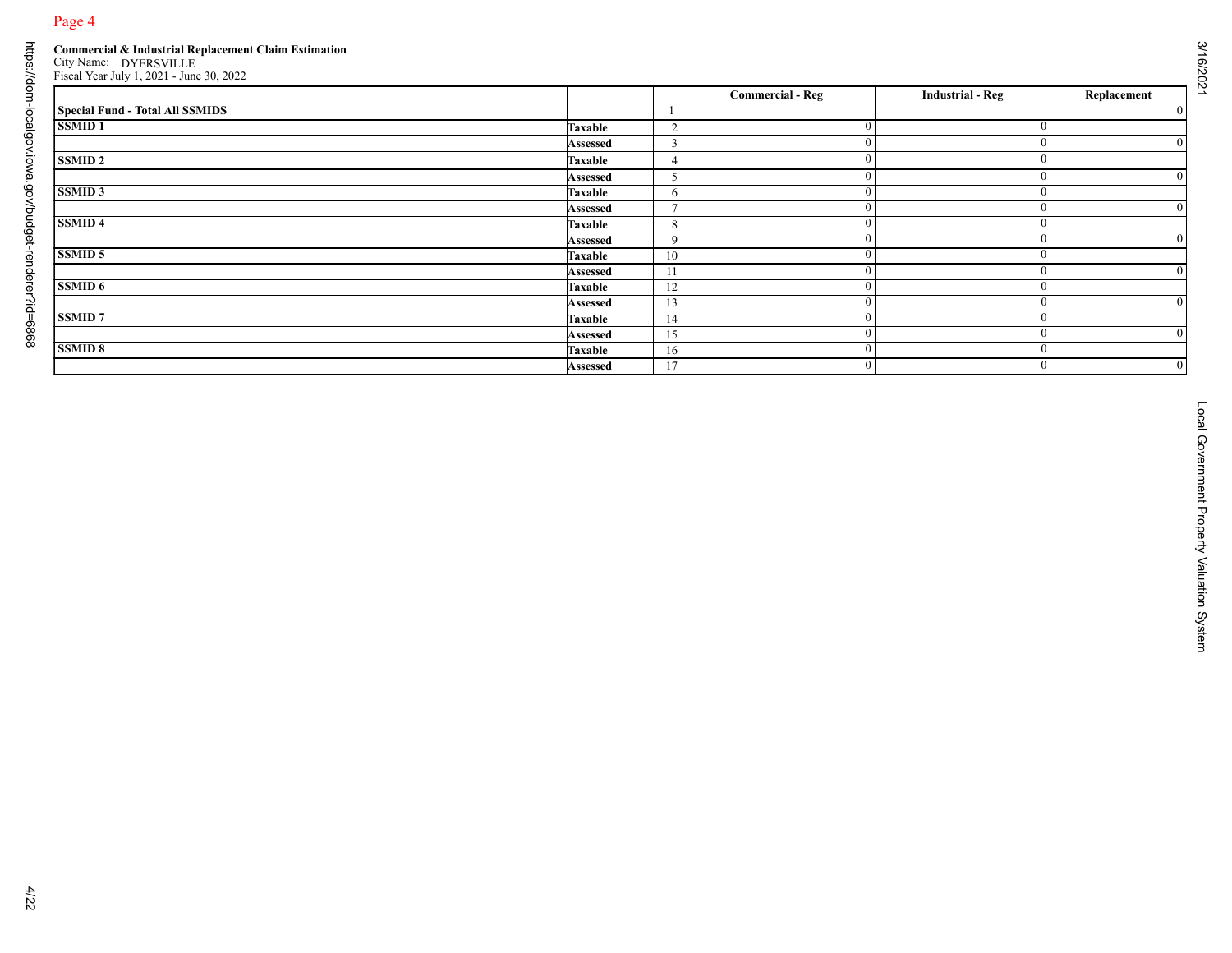|                                        |                            |                          | <b>Commercial - Reg</b>    | <b>Industrial - Reg</b> | Replacement                      |
|----------------------------------------|----------------------------|--------------------------|----------------------------|-------------------------|----------------------------------|
| <b>Special Fund - Total All SSMIDS</b> |                            | - 1                      |                            |                         |                                  |
| <b>SSMID1</b>                          | <b>Taxable</b>             |                          | $\boldsymbol{0}$           |                         | $\bf{0}$                         |
|                                        | Assessed                   |                          | $\boldsymbol{0}$           |                         | $\overline{0}$                   |
| <b>SSMID 2</b>                         | <b>Taxable</b>             |                          | $\boldsymbol{0}$           |                         | $\boldsymbol{0}$                 |
|                                        | Assessed                   | $\overline{\phantom{1}}$ | $\boldsymbol{0}$           |                         | $\bf{0}$                         |
| <b>SSMID 3</b>                         | <b>Taxable</b>             |                          | $\boldsymbol{0}$           |                         | $\overline{0}$                   |
|                                        | <b>Assessed</b>            |                          | $\overline{0}$             |                         | $\overline{0}$                   |
| <b>SSMID4</b>                          | <b>Taxable</b>             |                          | $\boldsymbol{0}$           |                         | $\overline{0}$                   |
|                                        | Assessed                   |                          | $\boldsymbol{0}$           |                         | $\bf{0}$                         |
| <b>SSMID 5</b>                         | <b>Taxable</b>             | 10                       | $\boldsymbol{0}$           |                         | $\bf{0}$                         |
|                                        | Assessed                   | 11                       | $\overline{0}$             |                         | $\overline{0}$                   |
| <b>SSMID 6</b>                         | <b>Taxable</b>             | 12                       | $\boldsymbol{0}$           |                         | $\overline{0}$                   |
| <b>SSMID7</b>                          | Assessed                   | 13                       | $\bf{0}$                   |                         | $\boldsymbol{0}$                 |
|                                        | <b>Taxable</b>             | 14<br>15                 | $\bf{0}$<br>$\overline{0}$ |                         | $\overline{0}$<br>$\overline{0}$ |
| <b>SSMID 8</b>                         | Assessed<br><b>Taxable</b> | 16                       | $\overline{0}$             |                         | $\overline{0}$                   |
|                                        |                            | 17                       | $\overline{0}$             |                         | $\overline{0}$                   |
|                                        | Assessed                   |                          |                            |                         |                                  |
|                                        |                            |                          |                            |                         |                                  |
|                                        |                            |                          |                            |                         |                                  |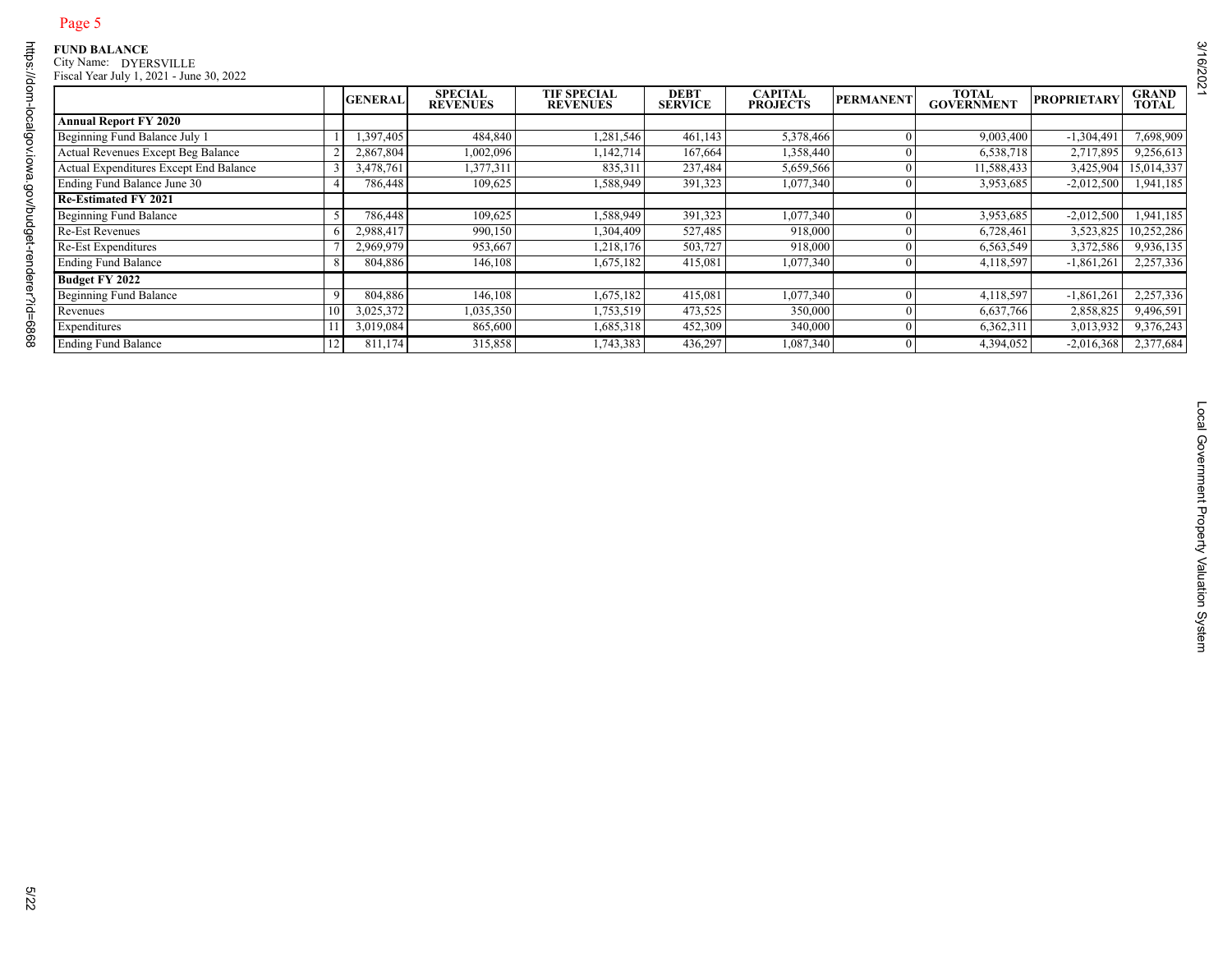| <b>Annual Report FY 2020</b><br>Beginning Fund Balance July 1<br>Actual Revenues Except Beg Balance |                | <b>GENERAL</b> | SPECIAL<br>REVENUES | <b>TIF SPECIAL<br/>REVENUES</b> | <b>DEBT</b><br>SERVICE | <b>CAPITAL<br/>PROJECTS</b> | <b>PERMANENT</b> | TOTAL<br>GOVERNMENT | <b>PROPRIETARY</b> | <b>GRAND<br/>TOTAL</b> |
|-----------------------------------------------------------------------------------------------------|----------------|----------------|---------------------|---------------------------------|------------------------|-----------------------------|------------------|---------------------|--------------------|------------------------|
|                                                                                                     |                |                |                     |                                 |                        |                             |                  |                     |                    |                        |
|                                                                                                     |                | 1,397,405      | 484,840             | 1,281,546                       | 461,143                | 5,378,466                   | $\Omega$         | 9,003,400           | $-1,304,491$       | 7,698,909              |
|                                                                                                     |                | 2,867,804      | 1,002,096           | 1,142,714                       | 167,664                | 1,358,440                   | $\bf{0}$         | 6,538,718           | 2,717,895          | 9,256,613              |
| Actual Expenditures Except End Balance                                                              | 3              | 3,478,761      | 1,377,311           | 835,311                         | 237,484                | 5,659,566                   | $\bf{0}$         | 11,588,433          | 3,425,904          | 15,014,337             |
| Ending Fund Balance June 30                                                                         | $\overline{4}$ | 786,448        | 109,625             | 1,588,949                       | 391,323                | 1,077,340                   | $\Omega$         | 3,953,685           | $-2,012,500$       | 1,941,185              |
| <b>Re-Estimated FY 2021</b>                                                                         |                |                |                     |                                 |                        |                             |                  |                     |                    |                        |
| <b>Beginning Fund Balance</b>                                                                       | 5              | 786,448        | 109,625             | 1,588,949                       | 391,323                | 1,077,340                   | $\bf{0}$         | 3,953,685           | $-2,012,500$       | 1,941,185              |
| <b>Re-Est Revenues</b>                                                                              | 6              | 2,988,417      | 990,150             | 1,304,409                       | 527,485                | 918,000                     | $\overline{0}$   | 6,728,461           | 3,523,825          | 10,252,286             |
| Re-Est Expenditures                                                                                 |                | 2,969,979      | 953,667             | 1,218,176                       | 503,727                | 918,000                     | -0               | 6,563,549           | 3,372,586          | 9,936,135              |
| <b>Ending Fund Balance</b>                                                                          | 8              | 804,886        | 146,108             | 1,675,182                       | 415,081                | 1,077,340                   | $\overline{0}$   | 4,118,597           | $-1,861,261$       | 2,257,336              |
| Budget FY 2022                                                                                      |                |                |                     |                                 |                        |                             |                  |                     |                    |                        |
| <b>Beginning Fund Balance</b>                                                                       | 9              | 804,886        | 146,108             | 1,675,182                       | 415,081                | 1,077,340                   | $\Omega$         | 4,118,597           | $-1,861,261$       | 2,257,336              |
| Revenues                                                                                            | 10             | 3,025,372      | 1,035,350           | 1,753,519                       | 473,525                | 350,000                     | $\bf{0}$         | 6,637,766           | 2,858,825          | 9,496,591              |
| Expenditures                                                                                        | 11             | 3,019,084      | 865,600             | 1,685,318                       | 452,309                | 340,000                     | $\bf{0}$         | 6,362,311           | 3,013,932          | 9,376,243              |
| <b>Ending Fund Balance</b>                                                                          | 12             | 811,174        | 315,858             | 1,743,383                       | 436,297                | 1,087,340                   | $\Omega$         | 4,394,052           | $-2,016,368$       | 2,377,684              |
|                                                                                                     |                |                |                     |                                 |                        |                             |                  |                     |                    |                        |
|                                                                                                     |                |                |                     |                                 |                        |                             |                  |                     |                    |                        |
|                                                                                                     |                |                |                     |                                 |                        |                             |                  |                     |                    |                        |
|                                                                                                     |                |                |                     |                                 |                        |                             |                  |                     |                    |                        |
|                                                                                                     |                |                |                     |                                 |                        |                             |                  |                     |                    |                        |

3/16/2021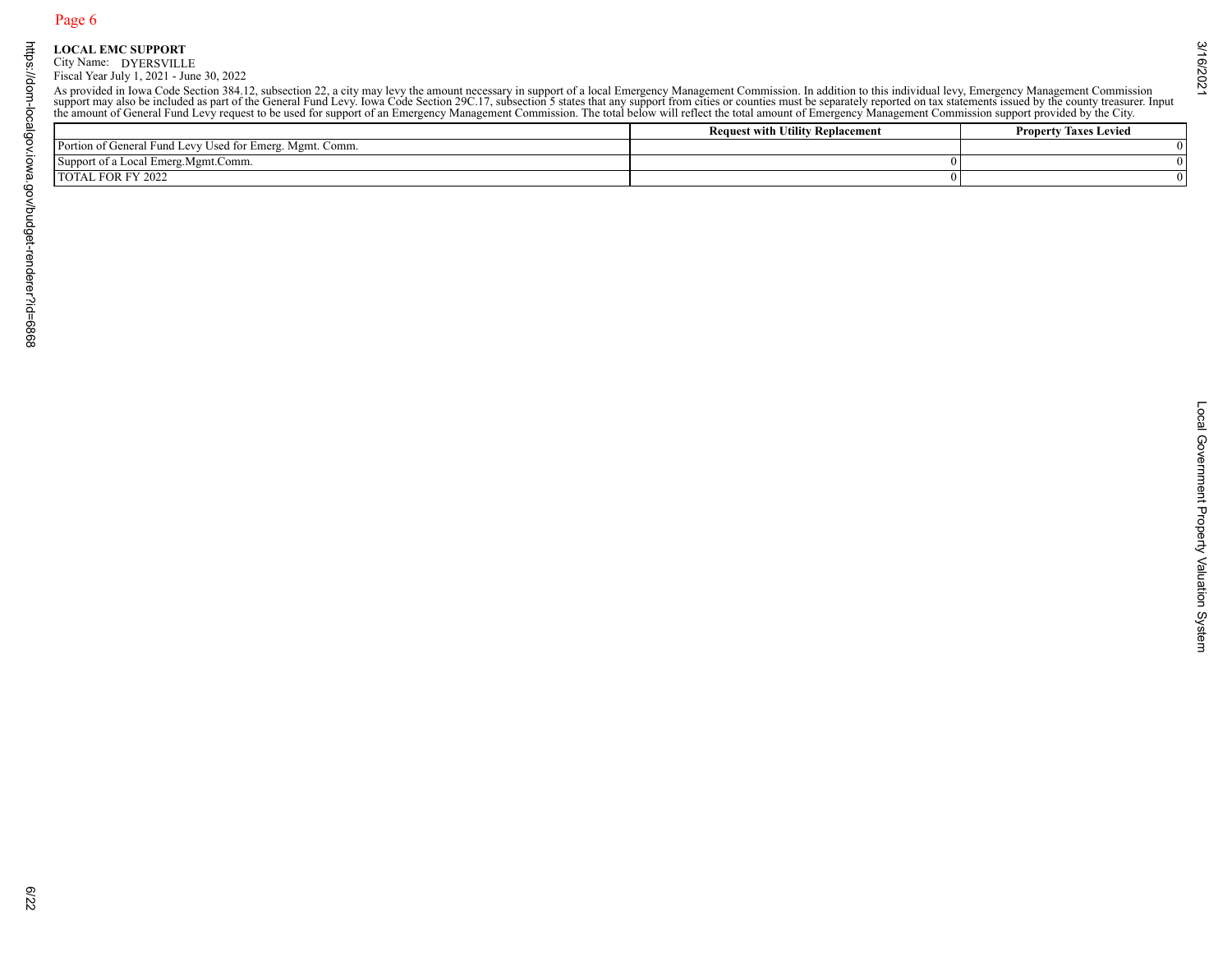|                                                          | As provided in Iowa Code Section 384.12, subsection 22, a city may levy the amount necessary in support of a local Emergency Management Commission. In addition to this individual levy, Emergency Management Commission suppo<br><b>Request with Utility Replacement</b> | <b>Property Taxes Levied</b> |
|----------------------------------------------------------|---------------------------------------------------------------------------------------------------------------------------------------------------------------------------------------------------------------------------------------------------------------------------|------------------------------|
| Portion of General Fund Levy Used for Emerg. Mgmt. Comm. |                                                                                                                                                                                                                                                                           |                              |
| Support of a Local Emerg.Mgmt.Comm.                      | $\boldsymbol{0}$                                                                                                                                                                                                                                                          |                              |
| TOTAL FOR FY 2022                                        | $\boldsymbol{0}$                                                                                                                                                                                                                                                          |                              |
|                                                          |                                                                                                                                                                                                                                                                           |                              |
|                                                          |                                                                                                                                                                                                                                                                           |                              |
|                                                          |                                                                                                                                                                                                                                                                           |                              |
|                                                          |                                                                                                                                                                                                                                                                           |                              |
|                                                          |                                                                                                                                                                                                                                                                           |                              |
|                                                          |                                                                                                                                                                                                                                                                           |                              |
|                                                          |                                                                                                                                                                                                                                                                           |                              |
|                                                          |                                                                                                                                                                                                                                                                           |                              |
|                                                          |                                                                                                                                                                                                                                                                           |                              |
|                                                          |                                                                                                                                                                                                                                                                           |                              |
|                                                          |                                                                                                                                                                                                                                                                           |                              |
|                                                          |                                                                                                                                                                                                                                                                           |                              |
|                                                          |                                                                                                                                                                                                                                                                           |                              |
|                                                          |                                                                                                                                                                                                                                                                           |                              |
|                                                          |                                                                                                                                                                                                                                                                           |                              |
|                                                          |                                                                                                                                                                                                                                                                           |                              |
|                                                          |                                                                                                                                                                                                                                                                           |                              |
|                                                          |                                                                                                                                                                                                                                                                           |                              |
|                                                          |                                                                                                                                                                                                                                                                           |                              |
|                                                          |                                                                                                                                                                                                                                                                           |                              |
|                                                          |                                                                                                                                                                                                                                                                           |                              |
|                                                          |                                                                                                                                                                                                                                                                           |                              |
|                                                          |                                                                                                                                                                                                                                                                           |                              |
|                                                          |                                                                                                                                                                                                                                                                           |                              |
|                                                          |                                                                                                                                                                                                                                                                           |                              |
|                                                          |                                                                                                                                                                                                                                                                           |                              |
|                                                          |                                                                                                                                                                                                                                                                           |                              |
|                                                          |                                                                                                                                                                                                                                                                           |                              |
|                                                          |                                                                                                                                                                                                                                                                           |                              |
|                                                          |                                                                                                                                                                                                                                                                           |                              |
|                                                          |                                                                                                                                                                                                                                                                           |                              |
|                                                          |                                                                                                                                                                                                                                                                           |                              |
|                                                          |                                                                                                                                                                                                                                                                           |                              |
|                                                          |                                                                                                                                                                                                                                                                           |                              |
|                                                          |                                                                                                                                                                                                                                                                           |                              |
|                                                          |                                                                                                                                                                                                                                                                           |                              |
|                                                          |                                                                                                                                                                                                                                                                           |                              |
|                                                          |                                                                                                                                                                                                                                                                           |                              |
|                                                          |                                                                                                                                                                                                                                                                           |                              |
|                                                          |                                                                                                                                                                                                                                                                           |                              |
|                                                          |                                                                                                                                                                                                                                                                           |                              |
|                                                          |                                                                                                                                                                                                                                                                           |                              |
|                                                          |                                                                                                                                                                                                                                                                           |                              |

3/16/2021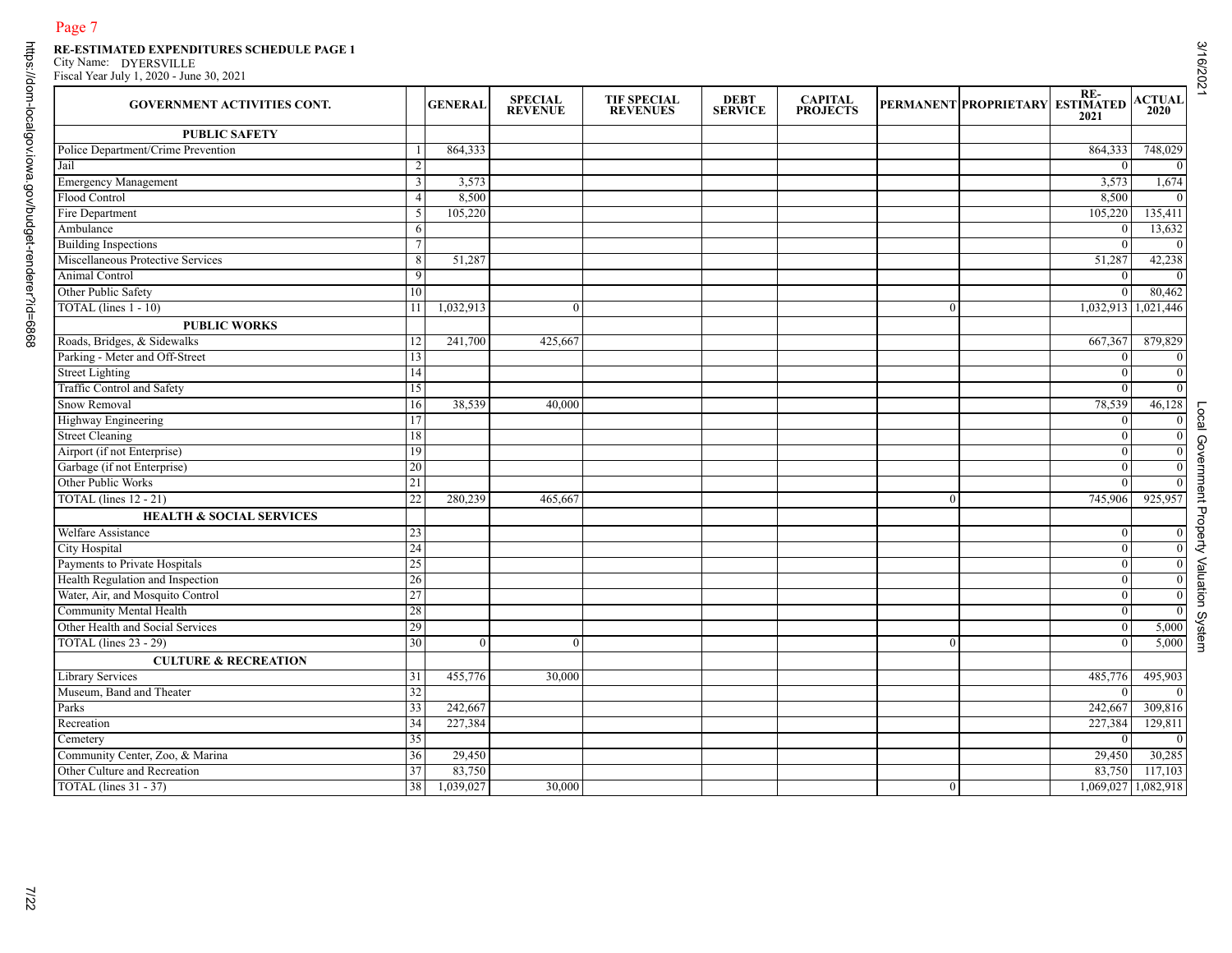| <b>GOVERNMENT ACTIVITIES CONT.</b>  |                | <b>GENERAL</b> | <b>SPECIAL</b><br><b>REVENUE</b> | <b>TIF SPECIAL</b><br><b>REVENUES</b> | DEBT<br><b>SERVICE</b> | <b>CAPITAL<br/>PROJECTS</b> |                | PERMANENT PROPRIETARY ESTIMATED | 2021                | <b>ACTUAL</b><br>2020 |
|-------------------------------------|----------------|----------------|----------------------------------|---------------------------------------|------------------------|-----------------------------|----------------|---------------------------------|---------------------|-----------------------|
| <b>PUBLIC SAFETY</b>                |                |                |                                  |                                       |                        |                             |                |                                 |                     |                       |
| Police Department/Crime Prevention  |                | 864,333        |                                  |                                       |                        |                             |                |                                 | 864,333             | 748,029               |
| Jail                                | 2              |                |                                  |                                       |                        |                             |                |                                 | $\Omega$            |                       |
| <b>Emergency Management</b>         | 3              | 3,573          |                                  |                                       |                        |                             |                |                                 | 3,573               | 1,674                 |
| Flood Control                       | $\overline{4}$ | 8,500          |                                  |                                       |                        |                             |                |                                 | 8,500               |                       |
| Fire Department                     | 5              | 105,220        |                                  |                                       |                        |                             |                |                                 | 105,220             | 135,411               |
| Ambulance                           | 6              |                |                                  |                                       |                        |                             |                |                                 | $\bf{0}$            | 13,632                |
| <b>Building Inspections</b>         | 7              |                |                                  |                                       |                        |                             |                |                                 | $\Omega$            |                       |
| Miscellaneous Protective Services   | 8              | 51,287         |                                  |                                       |                        |                             |                |                                 | 51,287              | 42,238                |
| Animal Control                      | $\overline{9}$ |                |                                  |                                       |                        |                             |                |                                 | $\mathbf{0}$        |                       |
| Other Public Safety                 | 10             |                |                                  |                                       |                        |                             |                |                                 | $\Omega$            | 80,462                |
| TOTAL (lines $1 - 10$ )             | 11             | 1,032,913      | $\overline{0}$                   |                                       |                        |                             | $\mathbf{0}$   |                                 | 1,032,913 1,021,446 |                       |
| <b>PUBLIC WORKS</b>                 |                |                |                                  |                                       |                        |                             |                |                                 |                     |                       |
| Roads, Bridges, & Sidewalks         | 12             | 241,700        | 425,667                          |                                       |                        |                             |                |                                 | 667,367             | 879,829               |
| Parking - Meter and Off-Street      | 13             |                |                                  |                                       |                        |                             |                |                                 | $\theta$            |                       |
| <b>Street Lighting</b>              | 14             |                |                                  |                                       |                        |                             |                |                                 | $\mathbf{0}$        |                       |
| <b>Traffic Control and Safety</b>   | 15             |                |                                  |                                       |                        |                             |                |                                 | $\Omega$            |                       |
| Snow Removal                        | 16             | 38,539         | 40,000                           |                                       |                        |                             |                |                                 | 78,539              | 46,128                |
| Highway Engineering                 | 17             |                |                                  |                                       |                        |                             |                |                                 | $\bf{0}$            |                       |
| <b>Street Cleaning</b>              | 18             |                |                                  |                                       |                        |                             |                |                                 | $\theta$            |                       |
| Airport (if not Enterprise)         | 19             |                |                                  |                                       |                        |                             |                |                                 | $\Omega$            |                       |
| Garbage (if not Enterprise)         | 20             |                |                                  |                                       |                        |                             |                |                                 | $\mathbf{0}$        |                       |
| Other Public Works                  | 21             |                |                                  |                                       |                        |                             |                |                                 | ∩                   |                       |
| TOTAL (lines 12 - 21)               | 22             | 280,239        | 465,667                          |                                       |                        |                             | $\theta$       |                                 | 745,906             | 925,957               |
| <b>HEALTH &amp; SOCIAL SERVICES</b> |                |                |                                  |                                       |                        |                             |                |                                 |                     |                       |
| Welfare Assistance                  | 23             |                |                                  |                                       |                        |                             |                |                                 | $\mathbf{0}$        |                       |
| City Hospital                       | 24             |                |                                  |                                       |                        |                             |                |                                 | $\mathbf{0}$        |                       |
| Payments to Private Hospitals       | 25             |                |                                  |                                       |                        |                             |                |                                 | $\Omega$            |                       |
| Health Regulation and Inspection    | 26             |                |                                  |                                       |                        |                             |                |                                 | $\mathbf{0}$        |                       |
| Water, Air, and Mosquito Control    | 27             |                |                                  |                                       |                        |                             |                |                                 | $\Omega$            |                       |
| Community Mental Health             | 28             |                |                                  |                                       |                        |                             |                |                                 | $\mathbf{0}$        |                       |
| Other Health and Social Services    | 29             |                |                                  |                                       |                        |                             |                |                                 | $\mathbf{0}$        | 5,000                 |
| <b>TOTAL</b> (lines 23 - 29)        | 30             | $\Omega$       | $\overline{0}$                   |                                       |                        |                             | $\theta$       |                                 | $\Omega$            | 5,000                 |
| <b>CULTURE &amp; RECREATION</b>     |                |                |                                  |                                       |                        |                             |                |                                 |                     |                       |
| Library Services                    | 31             | 455,776        | 30,000                           |                                       |                        |                             |                |                                 | 485,776             | 495,903               |
| Museum, Band and Theater            | 32             |                |                                  |                                       |                        |                             |                |                                 | $\theta$            |                       |
| Parks                               | 33             | 242,667        |                                  |                                       |                        |                             |                |                                 | 242,667             | 309,816               |
| Recreation                          | 34             | 227,384        |                                  |                                       |                        |                             |                |                                 | 227,384             | 129,811               |
| Cemetery                            | 35             |                |                                  |                                       |                        |                             |                |                                 | $\mathbf{0}$        |                       |
| Community Center, Zoo, & Marina     | 36             | 29,450         |                                  |                                       |                        |                             |                |                                 | 29,450              | 30,285                |
| Other Culture and Recreation        | 37             | 83,750         |                                  |                                       |                        |                             |                |                                 | 83,750              | 117,103               |
| <b>TOTAL</b> (lines 31 - 37)        | 38             | 1,039,027      | 30,000                           |                                       |                        |                             | $\overline{0}$ |                                 | 1,069,027 1,082,918 |                       |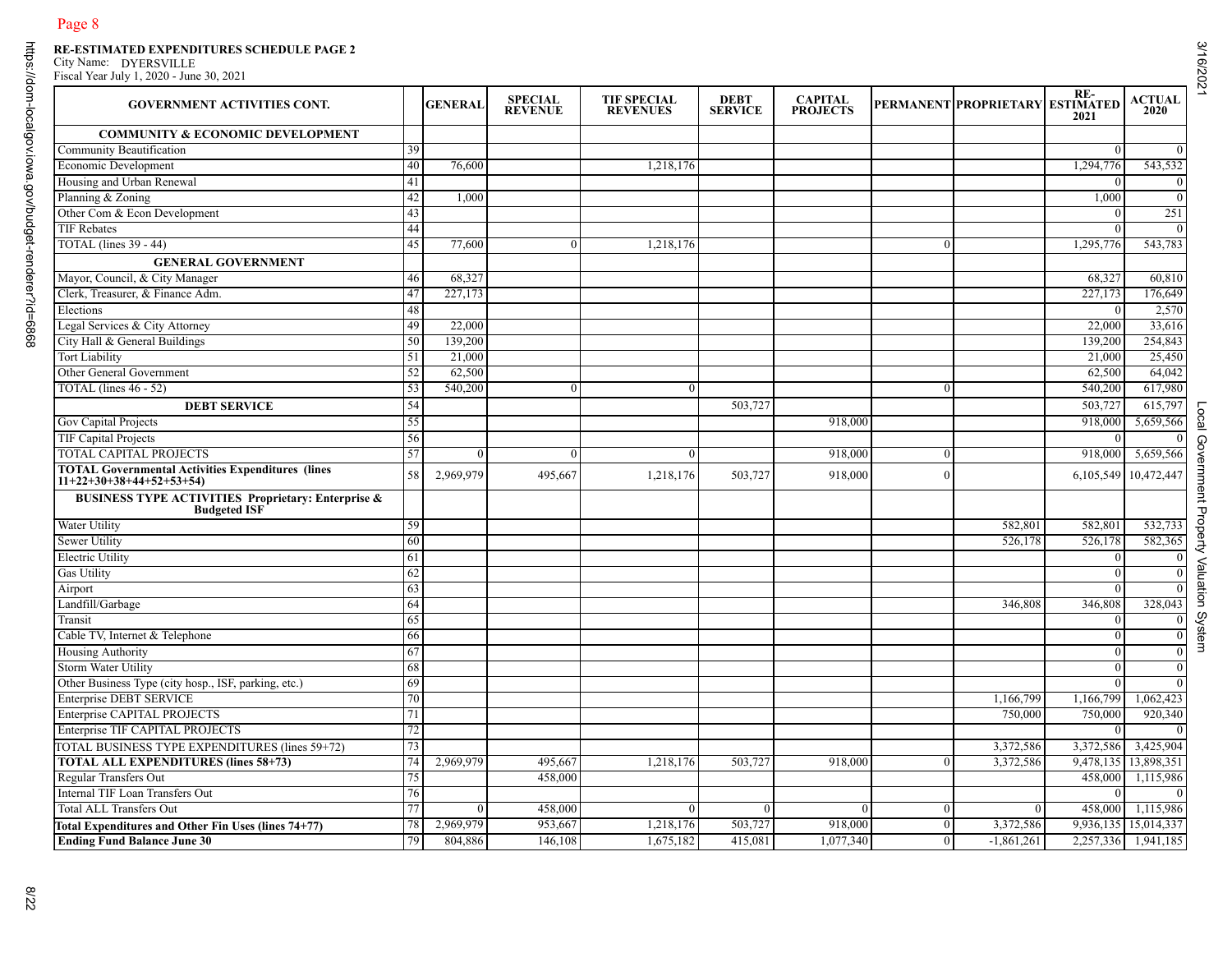| <b>GOVERNMENT ACTIVITIES CONT.</b>                                             |                                        | <b>GENERAL</b> | <b>SPECIAL</b><br><b>REVENUE</b> | <b>TIF SPECIAL</b><br><b>REVENUES</b> | <b>DEBT</b><br><b>SERVICE</b> | <b>CAPITAL</b><br><b>PROJECTS</b> |                | PERMANENT PROPRIETARY ESTIMATED | RE-<br>2021          | <b>ACTUAL</b><br>2020 |
|--------------------------------------------------------------------------------|----------------------------------------|----------------|----------------------------------|---------------------------------------|-------------------------------|-----------------------------------|----------------|---------------------------------|----------------------|-----------------------|
| <b>COMMUNITY &amp; ECONOMIC DEVELOPMENT</b>                                    |                                        |                |                                  |                                       |                               |                                   |                |                                 |                      |                       |
| Community Beautification                                                       | 39                                     |                |                                  |                                       |                               |                                   |                |                                 | $\overline{0}$       | $\overline{0}$        |
| Economic Development                                                           | 40                                     | 76,600         |                                  | 1,218,176                             |                               |                                   |                |                                 | 1,294,776            | 543,532               |
| Housing and Urban Renewal                                                      | 41                                     |                |                                  |                                       |                               |                                   |                |                                 | $\Omega$             |                       |
| Planning & Zoning                                                              | 42                                     | 1,000          |                                  |                                       |                               |                                   |                |                                 | 1.000                | $\overline{0}$        |
| Other Com & Econ Development                                                   | 43                                     |                |                                  |                                       |                               |                                   |                |                                 | $\Omega$             | 251                   |
| <b>TIF Rebates</b>                                                             | 44                                     |                |                                  |                                       |                               |                                   |                |                                 | $\theta$             |                       |
| <b>TOTAL</b> (lines 39 - 44)                                                   | 45                                     | 77,600         | $\mathbf{0}$                     | 1,218,176                             |                               |                                   | $\Omega$       |                                 | 1,295,776            | 543,783               |
| <b>GENERAL GOVERNMENT</b>                                                      |                                        |                |                                  |                                       |                               |                                   |                |                                 |                      |                       |
| Mayor, Council, & City Manager                                                 | 46                                     | 68,327         |                                  |                                       |                               |                                   |                |                                 | 68,327               | 60,810                |
| Clerk, Treasurer, & Finance Adm.                                               | 47                                     | 227,173        |                                  |                                       |                               |                                   |                |                                 | 227,173              | 176,649               |
| Elections                                                                      | 48                                     |                |                                  |                                       |                               |                                   |                |                                 | $\Omega$             | 2,570                 |
| Legal Services & City Attorney                                                 | 49                                     | 22,000         |                                  |                                       |                               |                                   |                |                                 | 22,000               | 33,616                |
| City Hall & General Buildings                                                  | 50                                     | 139,200        |                                  |                                       |                               |                                   |                |                                 | 139,200              | 254,843               |
| <b>Tort Liability</b>                                                          | 51                                     | 21,000         |                                  |                                       |                               |                                   |                |                                 | 21,000               | 25,450                |
| Other General Government                                                       | 52                                     | 62,500         |                                  |                                       |                               |                                   |                |                                 | 62,500               | 64,042                |
| TOTAL (lines 46 - 52)                                                          | 53                                     | 540,200        | $\theta$                         |                                       |                               |                                   | $\Omega$       |                                 | 540,200              | 617,980               |
| <b>DEBT SERVICE</b>                                                            | 54                                     |                |                                  |                                       | 503,727                       |                                   |                |                                 | 503,727              | 615,797               |
| Gov Capital Projects                                                           | 55                                     |                |                                  |                                       |                               | 918,000                           |                |                                 | 918,000              | 5,659,566             |
| TIF Capital Projects                                                           | 56                                     |                |                                  |                                       |                               |                                   |                |                                 |                      |                       |
| <b>TOTAL CAPITAL PROJECTS</b>                                                  | 57                                     | $\Omega$       | $\theta$                         | $\Omega$                              |                               | 918,000                           | $\theta$       |                                 | 918,000              | 5,659,566             |
| TOTAL Governmental Activities Expenditures (lines<br>11+22+30+38+44+52+53+54)  | 58                                     | 2,969,979      | 495,667                          | 1,218,176                             | 503,727                       | 918,000                           | $\theta$       |                                 | 6,105,549 10,472,447 |                       |
| <b>BUSINESS TYPE ACTIVITIES Proprietary: Enterprise &amp;<br/>Budgeted ISF</b> |                                        |                |                                  |                                       |                               |                                   |                |                                 |                      |                       |
| Water Utility                                                                  | 59                                     |                |                                  |                                       |                               |                                   |                | 582,801                         | 582,801              | 532,733               |
| <b>Sewer Utility</b>                                                           | 60                                     |                |                                  |                                       |                               |                                   |                | 526,178                         | 526,178              | 582,365               |
| <b>Electric Utility</b>                                                        | 61                                     |                |                                  |                                       |                               |                                   |                |                                 | $\Omega$             |                       |
| <b>Gas Utility</b>                                                             | 62                                     |                |                                  |                                       |                               |                                   |                |                                 | $\Omega$             |                       |
| Airport                                                                        | 63                                     |                |                                  |                                       |                               |                                   |                |                                 | $\overline{0}$       | $\overline{0}$        |
| Landfill/Garbage                                                               | 64                                     |                |                                  |                                       |                               |                                   |                | 346,808                         | 346,808              | 328,043               |
| Transit                                                                        | 65                                     |                |                                  |                                       |                               |                                   |                |                                 | $\Omega$             |                       |
| Cable TV, Internet & Telephone                                                 | 66                                     |                |                                  |                                       |                               |                                   |                |                                 | $\overline{0}$       | $\overline{0}$        |
| <b>Housing Authority</b>                                                       | 67                                     |                |                                  |                                       |                               |                                   |                |                                 | $\theta$             | $\overline{0}$        |
| Storm Water Utility                                                            | 68                                     |                |                                  |                                       |                               |                                   |                |                                 | $\Omega$             |                       |
| Other Business Type (city hosp., ISF, parking, etc.)                           | 69                                     |                |                                  |                                       |                               |                                   |                |                                 | $\Omega$             | $\overline{0}$        |
| <b>Enterprise DEBT SERVICE</b>                                                 | 70                                     |                |                                  |                                       |                               |                                   |                | 1,166,799                       | 1,166,799            | 1,062,423             |
| Enterprise CAPITAL PROJECTS                                                    | 71                                     |                |                                  |                                       |                               |                                   |                | 750,000                         | 750,000              | 920,340               |
| Enterprise TIF CAPITAL PROJECTS                                                | 72                                     |                |                                  |                                       |                               |                                   |                |                                 | $\overline{0}$       | $\overline{0}$        |
| TOTAL BUSINESS TYPE EXPENDITURES (lines 59+72)                                 | $\overline{\phantom{a}}$<br>$\sqrt{2}$ |                |                                  |                                       |                               |                                   |                | 3,372,586                       | 3,372,586 3,425,904  |                       |
| <b>TOTAL ALL EXPENDITURES (lines 58+73)</b>                                    | 74                                     | 2,969,979      | 495,667                          | 1,218,176                             | 503,727                       | 918,000                           | $\overline{0}$ | 3,372,586                       | 9,478,135 13,898,351 |                       |
| Regular Transfers Out                                                          | 75                                     |                | 458,000                          |                                       |                               |                                   |                |                                 |                      | 458,000 1,115,986     |
| Internal TIF Loan Transfers Out                                                | 76                                     |                |                                  |                                       |                               |                                   |                |                                 | $\theta$             | $\overline{0}$        |
| Total ALL Transfers Out                                                        | 77                                     | $\theta$       | 458,000                          |                                       | $\Omega$                      | 0                                 | $\overline{0}$ | $\theta$                        |                      | 458,000 1,115,986     |
| Total Expenditures and Other Fin Uses (lines 74+77)                            | 78                                     | 2,969,979      | 953,667                          | 1,218,176                             | 503,727                       | 918,000                           | $\overline{0}$ | 3,372,586                       | 9,936,135 15,014,337 |                       |
| <b>Ending Fund Balance June 30</b>                                             | 79                                     | 804,886        | 146,108                          | 1,675,182                             | 415,081                       | 1,077,340                         | $\overline{0}$ | $-1,861,261$                    | 2,257,336 1,941,185  |                       |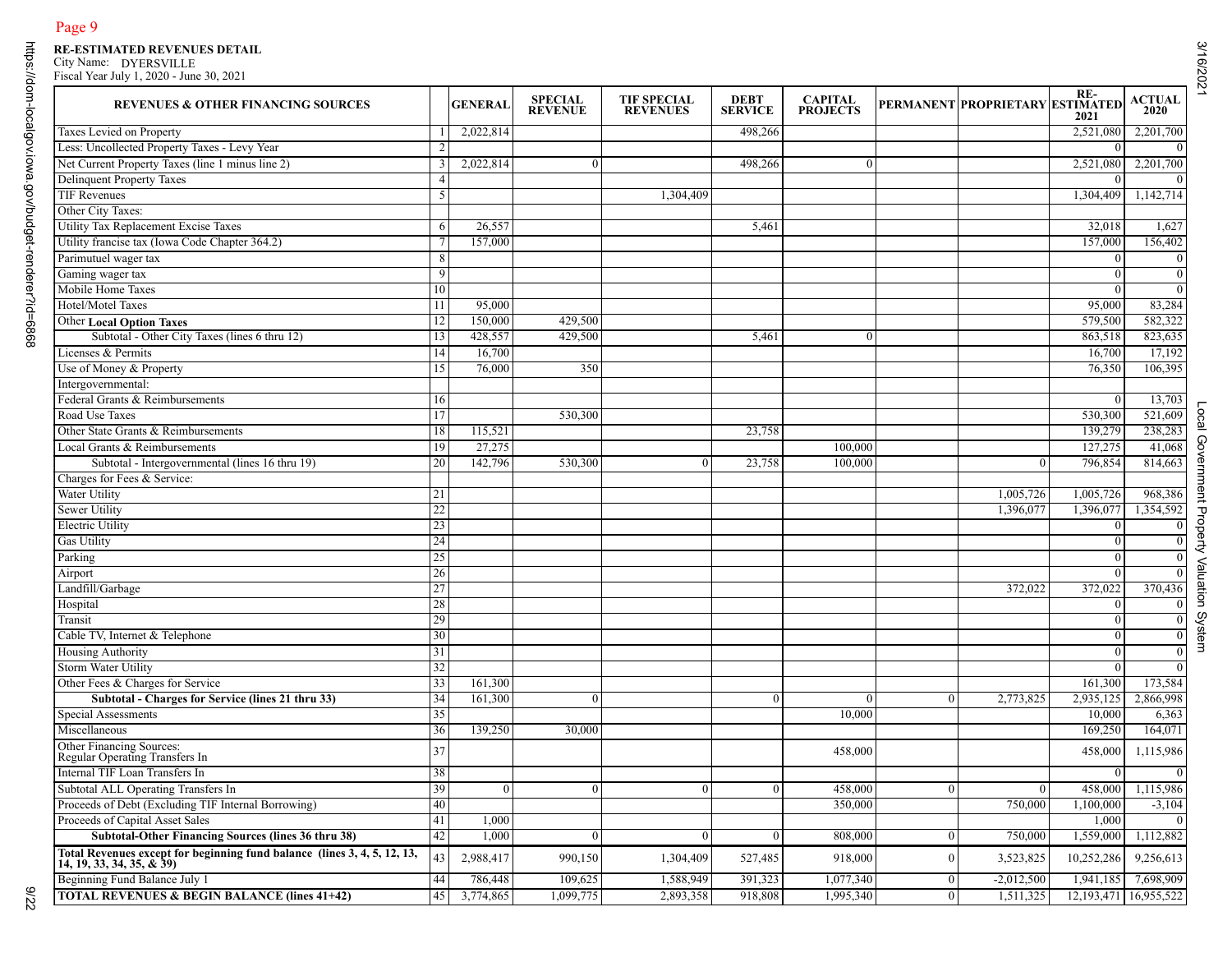| <b>REVENUES &amp; OTHER FINANCING SOURCES</b>                                                         |    | <b>GENERAL</b> | <b>SPECIAL</b><br><b>REVENUE</b> | <b>TIF SPECIAL</b><br><b>REVENUES</b> | <b>DEBT</b><br><b>SERVICE</b> | <b>CAPITAL</b><br><b>PROJECTS</b> |                | PERMANENT PROPRIETARY ESTIMATED | RE-<br>2021                 | <b>ACTUAL</b><br>2020 |
|-------------------------------------------------------------------------------------------------------|----|----------------|----------------------------------|---------------------------------------|-------------------------------|-----------------------------------|----------------|---------------------------------|-----------------------------|-----------------------|
| Taxes Levied on Property                                                                              |    | 2,022,814      |                                  |                                       | 498,266                       |                                   |                |                                 | 2,521,080                   | 2,201,700             |
| Less: Uncollected Property Taxes - Levy Year                                                          |    |                |                                  |                                       |                               |                                   |                |                                 | $\Omega$                    |                       |
| Net Current Property Taxes (line 1 minus line 2)                                                      |    | 2,022,814      | $\mathbf{0}$                     |                                       | 498,266                       | $\Omega$                          |                |                                 | 2,521,080                   | 2,201,700             |
| <b>Delinquent Property Taxes</b>                                                                      |    |                |                                  |                                       |                               |                                   |                |                                 | $\Omega$                    |                       |
| <b>TIF Revenues</b>                                                                                   |    |                |                                  | 1,304,409                             |                               |                                   |                |                                 | 1,304,409                   | 1,142,714             |
| Other City Taxes:                                                                                     |    |                |                                  |                                       |                               |                                   |                |                                 |                             |                       |
| Utility Tax Replacement Excise Taxes                                                                  | 6  | 26,557         |                                  |                                       | 5,461                         |                                   |                |                                 | 32,018                      | 1,627                 |
| Utility francise tax (Iowa Code Chapter 364.2)                                                        |    | 157,000        |                                  |                                       |                               |                                   |                |                                 | 157,000                     | 156,402               |
| Parimutuel wager tax                                                                                  | 8  |                |                                  |                                       |                               |                                   |                |                                 | $\overline{0}$              |                       |
| Gaming wager tax                                                                                      | -9 |                |                                  |                                       |                               |                                   |                |                                 | $\overline{0}$              |                       |
| Mobile Home Taxes                                                                                     | 10 |                |                                  |                                       |                               |                                   |                |                                 | $\overline{0}$              |                       |
| Hotel/Motel Taxes                                                                                     | 11 | 95,000         |                                  |                                       |                               |                                   |                |                                 | 95,000                      | 83,284                |
| <b>Other Local Option Taxes</b>                                                                       | 12 | 150,000        | 429,500                          |                                       |                               |                                   |                |                                 | 579,500                     | 582,322               |
| Subtotal - Other City Taxes (lines 6 thru 12)                                                         | 13 | 428,557        | 429,500                          |                                       | 5,461                         | $\overline{0}$                    |                |                                 | 863,518                     | 823,635               |
| Licenses & Permits                                                                                    | 14 | 16,700         |                                  |                                       |                               |                                   |                |                                 | 16,700                      | 17,192                |
| Use of Money & Property                                                                               | 15 | 76,000         | 350                              |                                       |                               |                                   |                |                                 | 76,350                      | 106,395               |
| Intergovernmental:                                                                                    |    |                |                                  |                                       |                               |                                   |                |                                 |                             |                       |
| Federal Grants & Reimbursements                                                                       | 16 |                |                                  |                                       |                               |                                   |                |                                 | $\Omega$                    | 13,703                |
| Road Use Taxes                                                                                        | 17 |                | 530,300                          |                                       |                               |                                   |                |                                 | 530,300                     | 521,609               |
| Other State Grants & Reimbursements                                                                   | 18 | 115,521        |                                  |                                       | 23,758                        |                                   |                |                                 | 139,279                     | 238,283               |
| Local Grants & Reimbursements                                                                         | 19 | 27,275         |                                  |                                       |                               | 100,000                           |                |                                 | 127,275                     | 41,068                |
| Subtotal - Intergovernmental (lines 16 thru 19)                                                       | 20 | 142,796        | 530,300                          |                                       | 23,758                        | 100,000                           |                | $\overline{0}$                  | 796,854                     | 814,663               |
| Charges for Fees & Service:                                                                           |    |                |                                  |                                       |                               |                                   |                |                                 |                             |                       |
| Water Utility                                                                                         | 21 |                |                                  |                                       |                               |                                   |                | 1,005,726                       | 1,005,726                   | 968,386               |
| <b>Sewer Utility</b>                                                                                  | 22 |                |                                  |                                       |                               |                                   |                | 1,396,077                       | 1,396,077                   | 1,354,592             |
| <b>Electric Utility</b>                                                                               | 23 |                |                                  |                                       |                               |                                   |                |                                 | $\overline{0}$              |                       |
| <b>Gas Utility</b>                                                                                    | 24 |                |                                  |                                       |                               |                                   |                |                                 | $\overline{0}$              |                       |
| Parking                                                                                               | 25 |                |                                  |                                       |                               |                                   |                |                                 | $\theta$                    |                       |
| Airport                                                                                               | 26 |                |                                  |                                       |                               |                                   |                |                                 | $\theta$                    |                       |
| Landfill/Garbage                                                                                      | 27 |                |                                  |                                       |                               |                                   |                | 372,022                         | 372,022                     | 370,436               |
| Hospital                                                                                              | 28 |                |                                  |                                       |                               |                                   |                |                                 | $\overline{0}$              |                       |
| Transit                                                                                               | 29 |                |                                  |                                       |                               |                                   |                |                                 | $\theta$                    |                       |
| Cable TV, Internet & Telephone                                                                        | 30 |                |                                  |                                       |                               |                                   |                |                                 | $\overline{0}$              |                       |
| <b>Housing Authority</b>                                                                              | 31 |                |                                  |                                       |                               |                                   |                |                                 | $\theta$                    |                       |
| <b>Storm Water Utility</b>                                                                            | 32 |                |                                  |                                       |                               |                                   |                |                                 | $\Omega$                    |                       |
| Other Fees & Charges for Service                                                                      | 33 | 161,300        |                                  |                                       |                               |                                   |                |                                 | 161,300                     | 173,584               |
| Subtotal - Charges for Service (lines 21 thru 33)                                                     | 34 | 161,300        | $\theta$                         |                                       | $\theta$                      | $\Omega$                          | $\theta$       | 2,773,825                       | 2,935,125                   | 2,866,998             |
| Special Assessments                                                                                   | 35 |                |                                  |                                       |                               | 10,000                            |                |                                 | 10,000                      | 6,363                 |
| Miscellaneous                                                                                         | 36 | 139,250        | 30,000                           |                                       |                               |                                   |                |                                 | 169,250                     | 164,071               |
| Other Financing Sources:<br>Regular Operating Transfers In                                            | 37 |                |                                  |                                       |                               | 458,000                           |                |                                 | 458,000                     | 1,115,986             |
| Internal TIF Loan Transfers In                                                                        | 38 |                |                                  |                                       |                               |                                   |                |                                 | $\Omega$                    |                       |
| Subtotal ALL Operating Transfers In                                                                   | 39 | $\Omega$       | $\mathbf{0}$                     |                                       | $\overline{0}$                | 458,000                           | $\mathbf{0}$   | $\theta$                        | 458,000                     | 1,115,986             |
| Proceeds of Debt (Excluding TIF Internal Borrowing)                                                   | 40 |                |                                  |                                       |                               | 350,000                           |                | 750,000                         | 1,100,000                   | $-3,104$              |
| Proceeds of Capital Asset Sales                                                                       | 41 | 1,000          |                                  |                                       |                               |                                   |                |                                 | 1,000                       |                       |
| <b>Subtotal-Other Financing Sources (lines 36 thru 38)</b>                                            | 42 | 1,000          | $\Omega$                         |                                       | $\theta$                      | 808,000                           | $\mathbf{0}$   | 750,000                         | 1,559,000                   | 1,112,882             |
| Total Revenues except for beginning fund balance (lines 3, 4, 5, 12, 13,<br>14, 19, 33, 34, 35, & 39) | 43 | 2,988,417      | 990,150                          | 1,304,409                             | 527,485                       | 918,000                           | $\overline{0}$ | 3,523,825                       | 10,252,286                  | 9,256,613             |
| Beginning Fund Balance July 1                                                                         | 44 | 786,448        | 109,625                          | 1,588,949                             | 391,323                       | 1,077,340                         | $\mathbf{0}$   | $-2,012,500$                    | 1,941,185                   | 7.698.909             |
| <b>TOTAL REVENUES &amp; BEGIN BALANCE (lines 41+42)</b>                                               | 45 | 3,774,865      | 1,099,775                        | 2,893,358                             | 918,808                       | 1,995,340                         | $\mathbf{0}$   | 1,511,325                       | 12, 193, 471   16, 955, 522 |                       |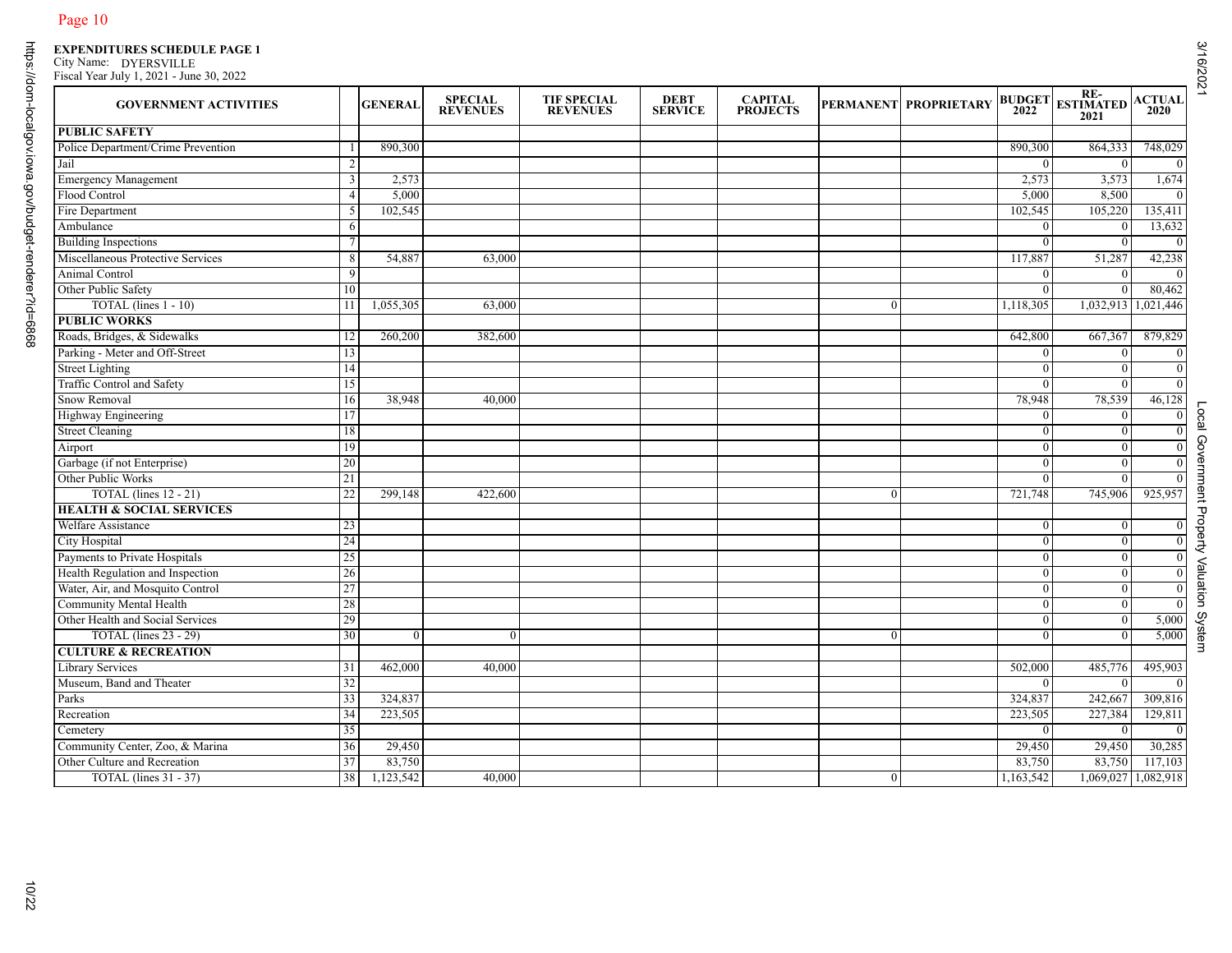| <b>GOVERNMENT ACTIVITIES</b>        |     | <b>GENERAL</b> | <b>SPECIAL</b><br><b>REVENUES</b> | <b>TIF SPECIAL</b><br><b>REVENUES</b> | <b>DEBT</b><br><b>SERVICE</b> | <b>CAPITAL<br/>PROJECTS</b> |                | PERMANENT PROPRIETARY | <b>BUDGET</b><br>2022 | RE-<br>ESTIMATED<br>2021   | <b>ACTUAL</b>       |
|-------------------------------------|-----|----------------|-----------------------------------|---------------------------------------|-------------------------------|-----------------------------|----------------|-----------------------|-----------------------|----------------------------|---------------------|
| <b>PUBLIC SAFETY</b>                |     |                |                                   |                                       |                               |                             |                |                       |                       |                            |                     |
| Police Department/Crime Prevention  |     | 890,300        |                                   |                                       |                               |                             |                |                       | 890,300               | 864,333                    | 748,029             |
| Jail                                |     |                |                                   |                                       |                               |                             |                |                       | $\Omega$              | $\Omega$                   | $\boldsymbol{0}$    |
| <b>Emergency Management</b>         | 3   | 2,573          |                                   |                                       |                               |                             |                |                       | 2,573                 | 3,573                      | 1,674               |
| Flood Control                       |     | 5,000          |                                   |                                       |                               |                             |                |                       | 5,000                 | 8,500                      | $\mathbf{0}$        |
| Fire Department                     | 5   | 102,545        |                                   |                                       |                               |                             |                |                       | 102,545               | 105,220                    | 135,411             |
| Ambulance                           | 6   |                |                                   |                                       |                               |                             |                |                       | $\Omega$              | $\theta$                   | 13,632              |
| <b>Building Inspections</b>         |     |                |                                   |                                       |                               |                             |                |                       | $\overline{0}$        | $\theta$                   | $\mathbf{0}$        |
| Miscellaneous Protective Services   | 8   | 54,887         | 63,000                            |                                       |                               |                             |                |                       | 117,887               | 51,287                     | 42,238              |
| Animal Control                      | 9   |                |                                   |                                       |                               |                             |                |                       | $\theta$              | $\theta$                   | $\overline{0}$      |
| Other Public Safety                 | 10  |                |                                   |                                       |                               |                             |                |                       | $\theta$              |                            | 80,462              |
| TOTAL (lines 1 - 10)                | -11 | 1,055,305      | 63,000                            |                                       |                               |                             | $\overline{0}$ |                       | 1,118,305             | 1,032,913                  | 1,021,446           |
| <b>PUBLIC WORKS</b>                 |     |                |                                   |                                       |                               |                             |                |                       |                       |                            |                     |
| Roads, Bridges, & Sidewalks         | 12  | 260,200        | 382,600                           |                                       |                               |                             |                |                       | 642,800               | 667,367                    | 879,829             |
| Parking - Meter and Off-Street      | 13  |                |                                   |                                       |                               |                             |                |                       |                       | $\Omega$                   | $\overline{0}$      |
| <b>Street Lighting</b>              | 14  |                |                                   |                                       |                               |                             |                |                       | $\Omega$              | $\theta$                   | $\boldsymbol{0}$    |
| Traffic Control and Safety          | 15  |                |                                   |                                       |                               |                             |                |                       | $\Omega$              | $\theta$                   | $\mathbf{0}$        |
| Snow Removal                        | 16  | 38,948         | 40,000                            |                                       |                               |                             |                |                       | 78,948                | 78,539                     | 46,128              |
| Highway Engineering                 | 17  |                |                                   |                                       |                               |                             |                |                       | $\Omega$              | $\theta$                   | $\boldsymbol{0}$    |
| <b>Street Cleaning</b>              |     |                |                                   |                                       |                               |                             |                |                       |                       |                            | $\mathbf{0}$        |
|                                     | 18  |                |                                   |                                       |                               |                             |                |                       | $\bf{0}$              | $\overline{0}$<br>$\Omega$ |                     |
| Airport                             | 19  |                |                                   |                                       |                               |                             |                |                       | $\Omega$              |                            | $\boldsymbol{0}$    |
| Garbage (if not Enterprise)         | 20  |                |                                   |                                       |                               |                             |                |                       | $\theta$              | $\theta$                   | $\boldsymbol{0}$    |
| Other Public Works                  | 21  |                |                                   |                                       |                               |                             |                |                       | $\theta$              |                            | $\overline{0}$      |
| TOTAL (lines $12 - 21$ )            | 22  | 299,148        | 422,600                           |                                       |                               |                             | $\theta$       |                       | 721,748               | 745,906                    | 925,957             |
| <b>HEALTH &amp; SOCIAL SERVICES</b> |     |                |                                   |                                       |                               |                             |                |                       |                       |                            |                     |
| Welfare Assistance                  | 23  |                |                                   |                                       |                               |                             |                |                       | $\theta$              |                            | $\boldsymbol{0}$    |
| <b>City Hospital</b>                | 24  |                |                                   |                                       |                               |                             |                |                       | $\mathbf{0}$          | $\mathbf{0}$               | $\overline{0}$      |
| Payments to Private Hospitals       | 25  |                |                                   |                                       |                               |                             |                |                       | $\theta$              | $\theta$                   | $\overline{0}$      |
| Health Regulation and Inspection    | 26  |                |                                   |                                       |                               |                             |                |                       | $\Omega$              |                            | $\boldsymbol{0}$    |
| Water, Air, and Mosquito Control    | 27  |                |                                   |                                       |                               |                             |                |                       | $\bf{0}$              | $\overline{0}$             | $\boldsymbol{0}$    |
| Community Mental Health             | 28  |                |                                   |                                       |                               |                             |                |                       | $\theta$              | $\theta$                   | $\mathbf{0}$        |
| Other Health and Social Services    | 29  |                |                                   |                                       |                               |                             |                |                       | $\Omega$              |                            | 5,000               |
| TOTAL (lines 23 - 29)               | 30  | $\overline{0}$ | $\overline{0}$                    |                                       |                               |                             | $\overline{0}$ |                       | $\theta$              | $\theta$                   | 5,000               |
| <b>CULTURE &amp; RECREATION</b>     |     |                |                                   |                                       |                               |                             |                |                       |                       |                            |                     |
| <b>Library Services</b>             | 31  | 462,000        | 40,000                            |                                       |                               |                             |                |                       | 502,000               | 485,776                    | 495,903             |
| Museum, Band and Theater            | 32  |                |                                   |                                       |                               |                             |                |                       | $\Omega$              | $\Omega$                   | $\overline{0}$      |
| Parks                               | 33  | 324,837        |                                   |                                       |                               |                             |                |                       | 324,837               | 242,667                    | 309,816             |
| Recreation                          | 34  | 223,505        |                                   |                                       |                               |                             |                |                       | 223,505               | 227,384                    | 129,811             |
| Cemetery                            | 35  |                |                                   |                                       |                               |                             |                |                       | $\mathbf{0}$          | $\overline{0}$             | $\mathbf{0}$        |
| Community Center, Zoo, & Marina     | 36  | 29,450         |                                   |                                       |                               |                             |                |                       | 29,450                |                            | 29,450 30,285       |
| Other Culture and Recreation        | 37  | 83,750         |                                   |                                       |                               |                             |                |                       | 83,750                |                            | 83,750 117,103      |
| TOTAL (lines $31 - 37$ )            | 38  | 1,123,542      | 40,000                            |                                       |                               |                             | $\overline{0}$ |                       | 1,163,542             |                            | 1,069,027 1,082,918 |

Local Government Property Valuation System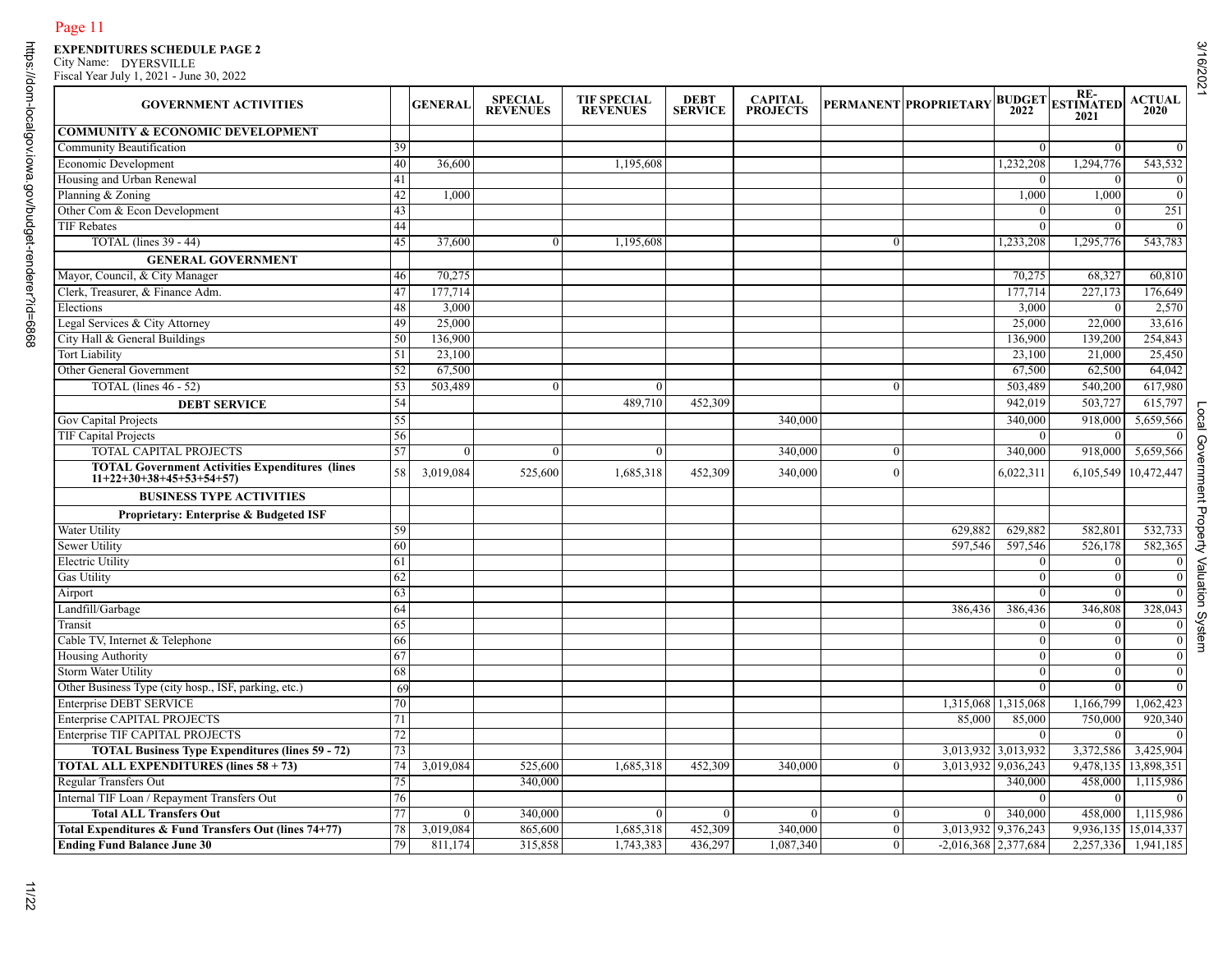# Page 11<br>EXPENDITURES SCHEDULE PAGE 2<br>City Name: DYERSVILLE<br>Fiscal Year July 1, 2021 - June 30, 2022

| <b>GOVERNMENT ACTIVITIES</b>                                                        |    | <b>GENERAL</b> | <b>SPECIAL</b><br><b>REVENUES</b> | <b>TIF SPECIAL</b><br><b>REVENUES</b> | <b>DEBT</b><br><b>SERVICE</b> | <b>CAPITAL</b><br><b>PROJECTS</b> |                | PERMANENT PROPRIETARY  | 2022                | <b>BUDGET</b> ESTIMATED<br>2021 | <b>ACTUAL</b><br>2020 |
|-------------------------------------------------------------------------------------|----|----------------|-----------------------------------|---------------------------------------|-------------------------------|-----------------------------------|----------------|------------------------|---------------------|---------------------------------|-----------------------|
| <b>COMMUNITY &amp; ECONOMIC DEVELOPMENT</b>                                         |    |                |                                   |                                       |                               |                                   |                |                        |                     |                                 |                       |
| Community Beautification                                                            | 39 |                |                                   |                                       |                               |                                   |                |                        | $\theta$            | $\Omega$                        |                       |
| Economic Development                                                                | 40 | 36,600         |                                   | 1,195,608                             |                               |                                   |                |                        | 1,232,208           | 1.294,776                       | 543,532               |
| Housing and Urban Renewal                                                           | 41 |                |                                   |                                       |                               |                                   |                |                        | $\Omega$            | $\Omega$                        |                       |
| Planning & Zoning                                                                   | 42 | 1,000          |                                   |                                       |                               |                                   |                |                        | 1,000               | 1,000                           |                       |
| Other Com & Econ Development                                                        | 43 |                |                                   |                                       |                               |                                   |                |                        | $\overline{0}$      | $\overline{0}$                  |                       |
| <b>TIF Rebates</b>                                                                  | 44 |                |                                   |                                       |                               |                                   |                |                        | $\bf{0}$            | $\Omega$                        |                       |
| <b>TOTAL</b> (lines 39 - 44)                                                        | 45 | 37,600         | $\mathbf{0}$                      | 1,195,608                             |                               |                                   | $\overline{0}$ |                        | 1,233,208           | 1,295,776                       | 543,783               |
| <b>GENERAL GOVERNMENT</b>                                                           |    |                |                                   |                                       |                               |                                   |                |                        |                     |                                 |                       |
| Mayor, Council, & City Manager                                                      | 46 | 70,275         |                                   |                                       |                               |                                   |                |                        | 70,275              | 68,327                          | 60,810                |
| Clerk, Treasurer, & Finance Adm.                                                    | 47 | 177,714        |                                   |                                       |                               |                                   |                |                        | 177,714             | 227,173                         | 176,649               |
| Elections                                                                           | 48 | 3,000          |                                   |                                       |                               |                                   |                |                        | 3,000               | $\Omega$                        | 2,570                 |
| Legal Services & City Attorney                                                      | 49 | 25,000         |                                   |                                       |                               |                                   |                |                        | 25,000              | 22,000                          | 33,616                |
| City Hall & General Buildings                                                       | 50 | 136,900        |                                   |                                       |                               |                                   |                |                        | 136,900             | 139,200                         | 254,843               |
| <b>Tort Liability</b>                                                               | 51 | 23,100         |                                   |                                       |                               |                                   |                |                        | 23,100              | 21,000                          | 25,450                |
| Other General Government                                                            | 52 | 67,500         |                                   |                                       |                               |                                   |                |                        | 67,500              | 62,500                          | 64,042                |
| TOTAL (lines 46 - 52)                                                               | 53 | 503,489        | $\theta$                          |                                       |                               |                                   | $\overline{0}$ |                        | 503,489             | 540,200                         | 617,980               |
|                                                                                     |    |                |                                   |                                       |                               |                                   |                |                        |                     |                                 |                       |
| <b>DEBT SERVICE</b>                                                                 | 54 |                |                                   | 489,710                               | 452,309                       |                                   |                |                        | 942,019             | 503,727                         | 615,797               |
| Gov Capital Projects                                                                | 55 |                |                                   |                                       |                               | 340,000                           |                |                        | 340,000             | 918,000                         | 5,659,566             |
| TIF Capital Projects                                                                | 56 |                |                                   |                                       |                               |                                   |                |                        | $\overline{0}$      | $\Omega$                        |                       |
| TOTAL CAPITAL PROJECTS                                                              | 57 | $\theta$       | $\Omega$                          | $\Omega$                              |                               | 340,000                           | $\mathbf{0}$   |                        | 340,000             | 918,000                         | 5,659,566             |
| <b>TOTAL Government Activities Expenditures (lines</b><br>$11+22+30+38+45+53+54+57$ | 58 | 3,019,084      | 525,600                           | 1,685,318                             | 452,309                       | 340,000                           | $\theta$       |                        | 6,022,311           | 6,105,549 10,472,447            |                       |
| <b>BUSINESS TYPE ACTIVITIES</b>                                                     |    |                |                                   |                                       |                               |                                   |                |                        |                     |                                 |                       |
| Proprietary: Enterprise & Budgeted ISF                                              |    |                |                                   |                                       |                               |                                   |                |                        |                     |                                 |                       |
| <b>Water Utility</b>                                                                | 59 |                |                                   |                                       |                               |                                   |                | 629,882                | 629,882             | 582,801                         | 532,733               |
| <b>Sewer Utility</b>                                                                | 60 |                |                                   |                                       |                               |                                   |                | 597,546                | 597,546             | 526,178                         | 582,365               |
| <b>Electric Utility</b>                                                             | 61 |                |                                   |                                       |                               |                                   |                |                        | $\overline{0}$      | $\theta$                        |                       |
| <b>Gas Utility</b>                                                                  | 62 |                |                                   |                                       |                               |                                   |                |                        | $\overline{0}$      | $\overline{0}$                  |                       |
| Airport                                                                             | 63 |                |                                   |                                       |                               |                                   |                |                        | $\Omega$            | $\theta$                        |                       |
| Landfill/Garbage                                                                    | 64 |                |                                   |                                       |                               |                                   |                | 386,436                | 386,436             | 346,808                         | 328,043               |
| Transit                                                                             | 65 |                |                                   |                                       |                               |                                   |                |                        | $\theta$            | $\theta$                        |                       |
| Cable TV, Internet & Telephone                                                      | 66 |                |                                   |                                       |                               |                                   |                |                        | $\overline{0}$      | $\overline{0}$                  |                       |
| Housing Authority                                                                   | 67 |                |                                   |                                       |                               |                                   |                |                        | $\overline{0}$      | $\overline{0}$                  |                       |
| Storm Water Utility                                                                 | 68 |                |                                   |                                       |                               |                                   |                |                        | $\overline{0}$      | $\theta$                        |                       |
| Other Business Type (city hosp., ISF, parking, etc.)                                | 69 |                |                                   |                                       |                               |                                   |                |                        | $\Omega$            | $\Omega$                        |                       |
| <b>Enterprise DEBT SERVICE</b>                                                      | 70 |                |                                   |                                       |                               |                                   |                |                        | 1,315,068 1,315,068 | 1,166,799                       | 1,062,423             |
| Enterprise CAPITAL PROJECTS                                                         | 71 |                |                                   |                                       |                               |                                   |                | 85,000                 | 85,000              | 750,000                         | 920,340               |
| Enterprise TIF CAPITAL PROJECTS                                                     | 72 |                |                                   |                                       |                               |                                   |                |                        | $\overline{0}$      | $\Omega$                        |                       |
| <b>TOTAL Business Type Expenditures (lines 59 - 72)</b>                             | 73 |                |                                   |                                       |                               |                                   |                |                        | 3,013,932 3,013,932 | 3,372,586 3,425,904             |                       |
| <b>TOTAL ALL EXPENDITURES (lines 58 + 73)</b>                                       | 74 | 3,019,084      | 525,600                           | 1,685,318                             | 452,309                       | 340,000                           | $\overline{0}$ |                        | 3,013,932 9,036,243 | 9,478,135 13,898,351            |                       |
| <b>Regular Transfers Out</b>                                                        | 75 |                | 340,000                           |                                       |                               |                                   |                |                        | 340,000             | 458,000 1,115,986               |                       |
| Internal TIF Loan / Repayment Transfers Out                                         | 76 |                |                                   |                                       |                               |                                   |                |                        | $\bf{0}$            | $\overline{0}$                  |                       |
| <b>Total ALL Transfers Out</b>                                                      | 77 | $\overline{0}$ |                                   |                                       |                               |                                   | $\mathbf{0}$   | $\Omega$               | 340,000             |                                 | 1,115,986             |
|                                                                                     |    |                | 340,000                           |                                       |                               |                                   |                |                        |                     | 458,000                         |                       |
| Total Expenditures & Fund Transfers Out (lines 74+77)                               | 78 | 3,019,084      | 865,600                           | 1,685,318                             | 452,309                       | 340,000                           | $\overline{0}$ | 3,013,932 9,376,243    |                     | 9,936,135 15,014,337            |                       |
| <b>Ending Fund Balance June 30</b>                                                  | 79 | 811,174        | 315,858                           | 1,743,383                             | 436,297                       | 1,087,340                         | $\overline{0}$ | $-2,016,368$ 2,377,684 |                     | 2,257,336 1,941,185             |                       |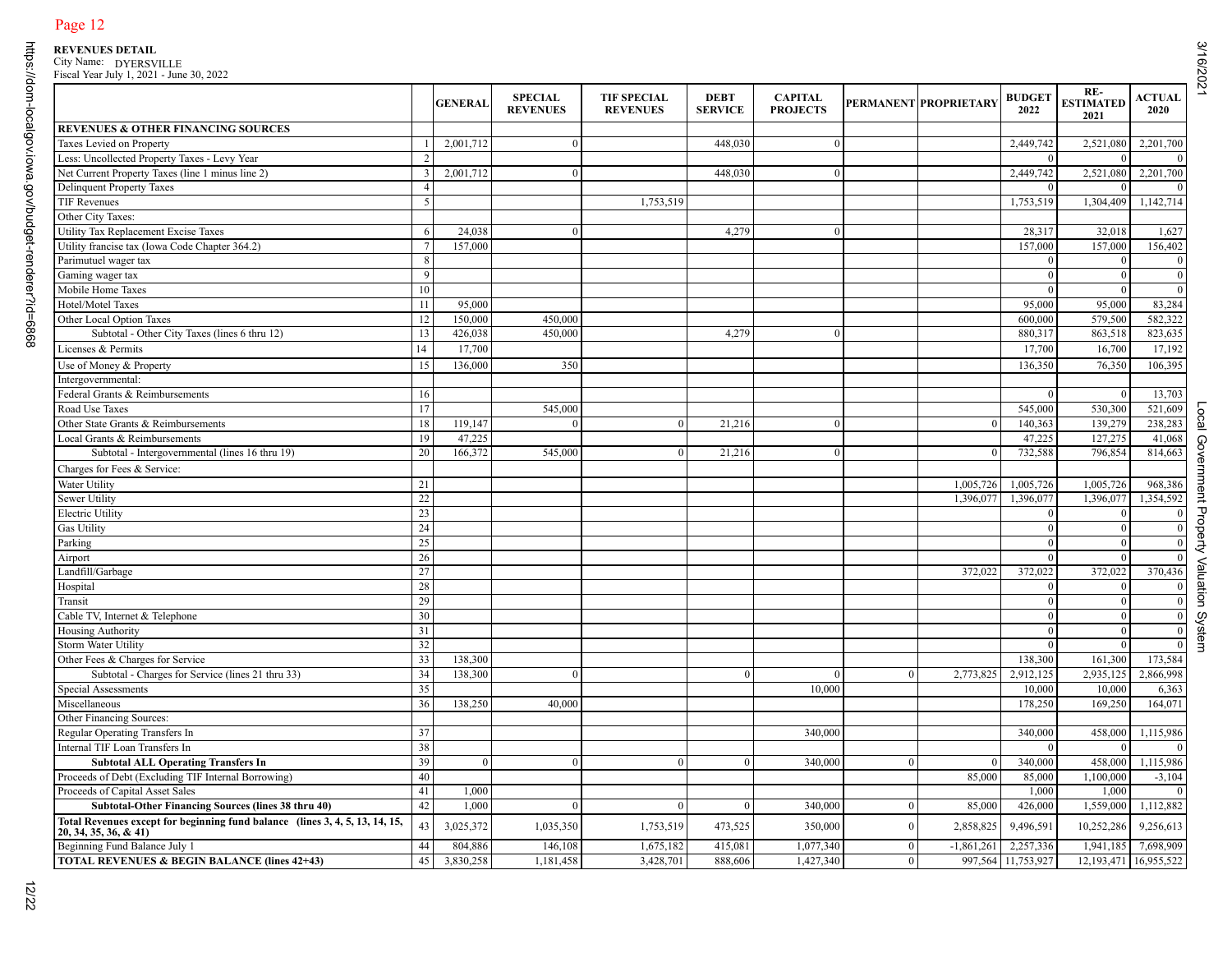|                                                                                                          |    | <b>GENERAL</b> | <b>SPECIAL</b><br><b>REVENUES</b> | <b>TIF SPECIAL</b><br><b>REVENUES</b> | <b>DEBT</b><br><b>SERVICE</b> | <b>CAPITAL</b><br><b>PROJECTS</b> |                | PERMANENT PROPRIETARY | <b>BUDGET</b><br>2022 | RE-<br><b>ESTIMATED</b><br>2021 | <b>ACTUAL</b><br><b>2020</b> |
|----------------------------------------------------------------------------------------------------------|----|----------------|-----------------------------------|---------------------------------------|-------------------------------|-----------------------------------|----------------|-----------------------|-----------------------|---------------------------------|------------------------------|
| REVENUES & OTHER FINANCING SOURCES                                                                       |    |                |                                   |                                       |                               |                                   |                |                       |                       |                                 |                              |
| Taxes Levied on Property                                                                                 |    | 2,001,712      | $\mathbf{0}$                      |                                       | 448,030                       | $\overline{0}$                    |                |                       | 2,449,742             | 2,521,080                       | 2,201,700                    |
| Less: Uncollected Property Taxes - Levy Year                                                             |    |                |                                   |                                       |                               |                                   |                |                       | $\Omega$              |                                 |                              |
| Net Current Property Taxes (line 1 minus line 2)                                                         | 3  | 2,001,712      | $\mathbf{0}$                      |                                       | 448,030                       |                                   |                |                       | 2,449,742             | 2,521,080                       | 2,201,700                    |
| <b>Delinquent Property Taxes</b>                                                                         |    |                |                                   |                                       |                               |                                   |                |                       | $\overline{0}$        |                                 |                              |
| TIF Revenues                                                                                             | 5  |                |                                   | 1,753,519                             |                               |                                   |                |                       | 1,753,519             | 1,304,409                       | 1,142,714                    |
| Other City Taxes:                                                                                        |    |                |                                   |                                       |                               |                                   |                |                       |                       |                                 |                              |
| <b>Utility Tax Replacement Excise Taxes</b>                                                              | 6  | 24,038         | $\mathbf{0}$                      |                                       | 4,279                         | $\overline{0}$                    |                |                       | 28,317                | 32,018                          | 1,627                        |
| Utility francise tax (Iowa Code Chapter 364.2)                                                           |    | 157,000        |                                   |                                       |                               |                                   |                |                       | 157,000               | 157,000                         | 156,402                      |
| Parimutuel wager tax                                                                                     | 8  |                |                                   |                                       |                               |                                   |                |                       | $\Omega$              |                                 |                              |
| Gaming wager tax                                                                                         | 9  |                |                                   |                                       |                               |                                   |                |                       | $\theta$              |                                 |                              |
| Mobile Home Taxes                                                                                        | 10 |                |                                   |                                       |                               |                                   |                |                       | $\theta$              |                                 | $\mathbf{0}$                 |
| Hotel/Motel Taxes                                                                                        | 11 | 95,000         |                                   |                                       |                               |                                   |                |                       | 95,000                | 95,000                          | 83,284                       |
| Other Local Option Taxes                                                                                 | 12 | 150,000        | 450,000                           |                                       |                               |                                   |                |                       | 600,000               | 579,500                         | 582,322                      |
| Subtotal - Other City Taxes (lines 6 thru 12)                                                            | 13 | 426,038        | 450,000                           |                                       | 4,279                         | $\overline{0}$                    |                |                       | 880,317               | 863,518                         | 823,635                      |
| Licenses & Permits                                                                                       | 14 | 17,700         |                                   |                                       |                               |                                   |                |                       | 17,700                | 16,700                          | 17,192                       |
| Use of Money & Property                                                                                  | 15 | 136,000        | 350                               |                                       |                               |                                   |                |                       | 136,350               | 76,350                          | 106,395                      |
| Intergovernmental:                                                                                       |    |                |                                   |                                       |                               |                                   |                |                       |                       |                                 |                              |
| Federal Grants & Reimbursements                                                                          | 16 |                |                                   |                                       |                               |                                   |                |                       | $\overline{0}$        |                                 | 13,703                       |
| Road Use Taxes                                                                                           | 17 |                | 545,000                           |                                       |                               |                                   |                |                       | 545,000               | 530,300                         | 521,609                      |
| Other State Grants & Reimbursements                                                                      | 18 | 119,147        | $\mathbf{0}$                      | $\overline{0}$                        | 21,216                        | $\theta$                          |                | $\mathbf{0}$          | 140,363               | 139,279                         | 238,283                      |
| Local Grants & Reimbursements                                                                            | 19 | 47,225         |                                   |                                       |                               |                                   |                |                       | 47,225                | 127,275                         | 41,068                       |
| Subtotal - Intergovernmental (lines 16 thru 19)                                                          | 20 | 166,372        | 545,000                           |                                       | 21,216                        |                                   |                | $\Omega$              | 732,588               | 796,854                         | 814,663                      |
| Charges for Fees & Service:                                                                              |    |                |                                   |                                       |                               |                                   |                |                       |                       |                                 |                              |
| Water Utility                                                                                            | 21 |                |                                   |                                       |                               |                                   |                | 1,005,726             | 1,005,726             | 1,005,726                       | 968,386                      |
| <b>Sewer Utility</b>                                                                                     | 22 |                |                                   |                                       |                               |                                   |                | 1,396,077             | 1,396,077             | 1,396,077                       | 1,354,592                    |
| <b>Electric Utility</b>                                                                                  | 23 |                |                                   |                                       |                               |                                   |                |                       | $\overline{0}$        |                                 |                              |
| <b>Gas Utility</b>                                                                                       | 24 |                |                                   |                                       |                               |                                   |                |                       | $\overline{0}$        | $\Omega$                        | $\mathbf{C}$                 |
| Parking                                                                                                  | 25 |                |                                   |                                       |                               |                                   |                |                       | $\overline{0}$        | $\mathbf{0}$                    | $\mathbf{0}$                 |
| Airport                                                                                                  | 26 |                |                                   |                                       |                               |                                   |                |                       | $\Omega$              | $\Omega$                        | $\sqrt{ }$                   |
| Landfill/Garbage                                                                                         | 27 |                |                                   |                                       |                               |                                   |                | 372,022               | 372,022               | 372,022                         | 370,436                      |
| Hospital                                                                                                 | 28 |                |                                   |                                       |                               |                                   |                |                       | $\Omega$              | $\Omega$                        |                              |
| Transit                                                                                                  | 29 |                |                                   |                                       |                               |                                   |                |                       | $\Omega$              |                                 | $\sqrt{ }$                   |
| Cable TV, Internet & Telephone                                                                           | 30 |                |                                   |                                       |                               |                                   |                |                       | $\Omega$              |                                 | $\mathbf{C}$                 |
| Housing Authority                                                                                        | 31 |                |                                   |                                       |                               |                                   |                |                       | $\Omega$              | $\Omega$                        | $\mathcal{L}$                |
| <b>Storm Water Utility</b>                                                                               | 32 |                |                                   |                                       |                               |                                   |                |                       | $\overline{0}$        | $\Omega$                        | $\mathcal{L}$                |
| Other Fees & Charges for Service                                                                         | 33 | 138,300        |                                   |                                       |                               |                                   |                |                       | 138,300               | 161,300                         | 173,584                      |
| Subtotal - Charges for Service (lines 21 thru 33)                                                        | 34 | 138,300        | $\mathbf{0}$                      |                                       | $\mathbf{0}$                  | $\Omega$                          | $\bf{0}$       | 2,773,825             | 2,912,125             | 2,935,125                       | 2,866,998                    |
| Special Assessments                                                                                      | 35 |                |                                   |                                       |                               | 10,000                            |                |                       | 10,000                | 10,000                          | 6,363                        |
| Miscellaneous                                                                                            | 36 | 138,250        | 40,000                            |                                       |                               |                                   |                |                       | 178,250               | 169,250                         | 164,071                      |
| Other Financing Sources:                                                                                 |    |                |                                   |                                       |                               |                                   |                |                       |                       |                                 |                              |
| Regular Operating Transfers In                                                                           | 37 |                |                                   |                                       |                               | 340,000                           |                |                       | 340,000               | 458,000                         | 1,115,986                    |
| Internal TIF Loan Transfers In                                                                           | 38 |                |                                   |                                       |                               |                                   |                |                       | <b>U</b>              | - 0                             | - 0                          |
| <b>Subtotal ALL Operating Transfers In</b>                                                               | 39 | $\overline{0}$ | $\mathbf{0}$                      | $\theta$                              | $\mathbf{0}$                  | 340,000                           | $\overline{0}$ | $\mathbf{0}$          | 340,000               | 458,000                         | 1,115,986                    |
| Proceeds of Debt (Excluding TIF Internal Borrowing)                                                      | 40 |                |                                   |                                       |                               |                                   |                | 85,000                | 85,000                | 1,100,000                       | $-3,104$                     |
| Proceeds of Capital Asset Sales                                                                          | 41 | 1,000          |                                   |                                       |                               |                                   |                |                       | 1,000                 | 1,000                           |                              |
| Subtotal-Other Financing Sources (lines 38 thru 40)                                                      | 42 | 1,000          | $\boldsymbol{0}$                  | $\mathbf{0}$                          | $\bf{0}$                      | 340,000                           | $\overline{0}$ | 85,000                | 426,000               | 1,559,000                       | 1,112,882                    |
| Total Revenues except for beginning fund balance (lines 3, 4, 5, 13, 14, 15,<br>$20, 34, 35, 36, \& 41)$ | 43 | 3,025,372      | 1,035,350                         | 1,753,519                             | 473,525                       | 350,000                           | $\Omega$       | 2,858,825             | 9,496,591             | 10,252,286                      | 9,256,613                    |
| Beginning Fund Balance July 1                                                                            | 44 | 804,886        | 146,108                           | 1,675,182                             | 415,081                       | 1,077,340                         | $\bf{0}$       | $-1,861,261$          | 2,257,336             | 1,941,185                       | 7,698,909                    |
| <b>TOTAL REVENUES &amp; BEGIN BALANCE (lines 42+43)</b>                                                  | 45 | 3,830,258      | 1,181,458                         | 3,428,701                             | 888,606                       | 1,427,340                         | $\Omega$       |                       | 997,564 11,753,927    | 12,193,471                      | 16,955,522                   |

3/16/2021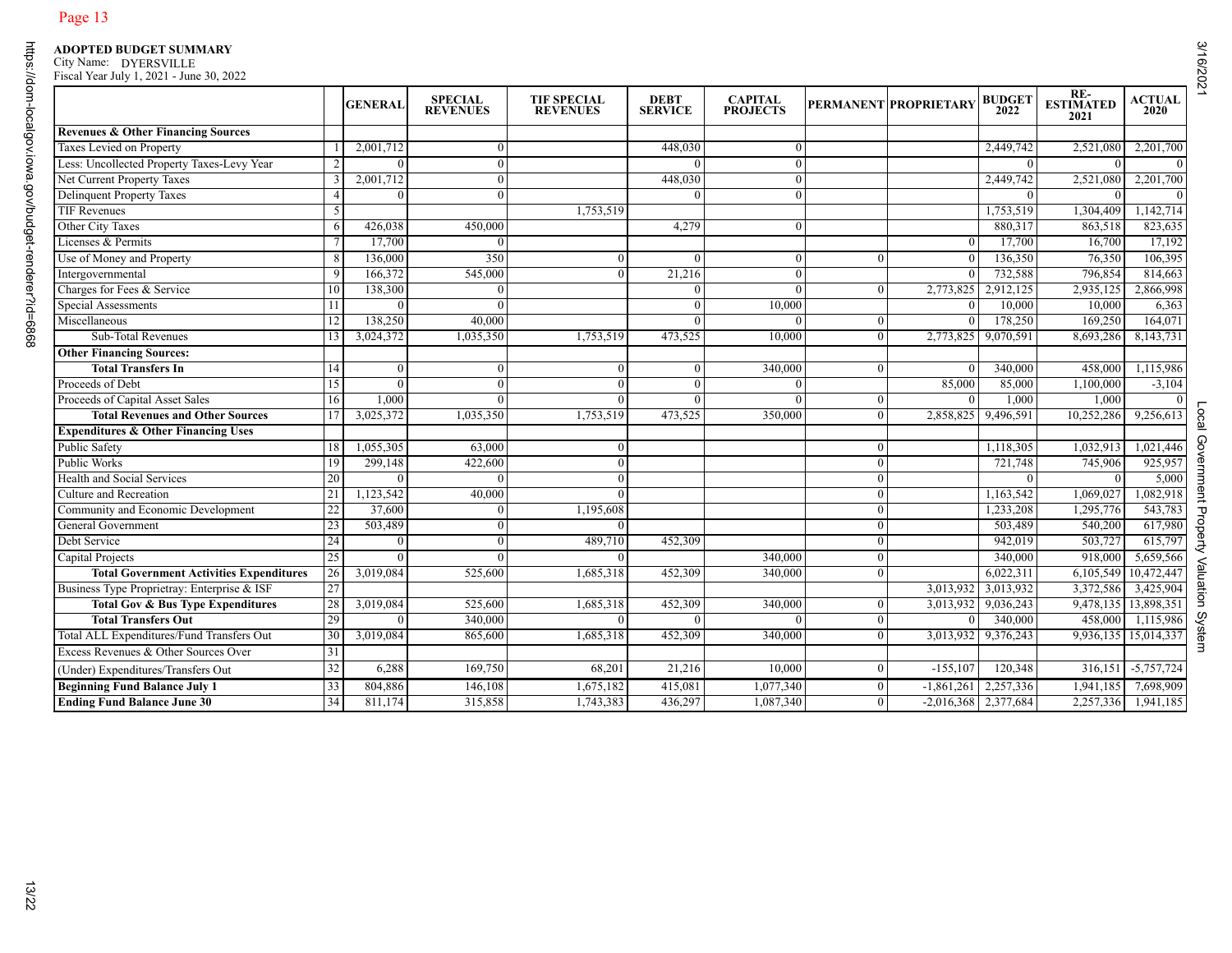|                                                 |                 | <b>GENERAL</b> | <b>SPECIAL</b><br><b>REVENUES</b> | <b>TIF SPECIAL</b><br><b>REVENUES</b> | <b>DEBT</b><br><b>SERVICE</b> | <b>CAPITAL</b><br><b>PROJECTS</b> |                  | PERMANENT PROPRIETARY | <b>BUDGET</b><br>2022 | RE-<br>ESTIMATED<br>2021 | <b>ACTUAL</b><br>2020 |
|-------------------------------------------------|-----------------|----------------|-----------------------------------|---------------------------------------|-------------------------------|-----------------------------------|------------------|-----------------------|-----------------------|--------------------------|-----------------------|
| <b>Revenues &amp; Other Financing Sources</b>   |                 |                |                                   |                                       |                               |                                   |                  |                       |                       |                          |                       |
| Taxes Levied on Property                        |                 | 2,001,712      | $\overline{0}$                    |                                       | 448,030                       | $\Omega$                          |                  |                       | 2,449,742             | 2,521,080                | 2,201,700             |
| Less: Uncollected Property Taxes-Levy Year      |                 | $\theta$       | $\overline{0}$                    |                                       | $\Omega$                      |                                   |                  |                       | $\mathbf{0}$          | $\Omega$                 | $\overline{0}$        |
| Net Current Property Taxes                      |                 | 2,001,712      | $\overline{0}$                    |                                       | 448,030                       | $\Omega$                          |                  |                       | 2,449,742             | 2,521,080                | 2,201,700             |
| <b>Delinquent Property Taxes</b>                | $\overline{4}$  |                | $\Omega$                          |                                       |                               |                                   |                  |                       | $\Omega$              |                          |                       |
| TIF Revenues                                    | 5               |                |                                   | 1,753,519                             |                               |                                   |                  |                       | 1,753,519             | 1,304,409                | 1,142,714             |
| Other City Taxes                                | 6               | 426,038        | 450,000                           |                                       | 4,279                         | $\Omega$                          |                  |                       | 880,317               | 863,518                  | 823,635               |
| Licenses & Permits                              |                 | 17,700         | $\mathbf{0}$                      |                                       |                               |                                   |                  |                       | 17,700                | 16,700                   | 17,192                |
| Use of Money and Property                       | 8               | 136,000        | 350                               | $\Omega$                              |                               |                                   | $\Omega$         | $\Omega$              | 136,350               | 76,350                   | 106,395               |
| Intergovernmental                               | 9               | 166,372        | 545,000                           | $\Omega$                              | $\overline{21,216}$           | $\Omega$                          |                  |                       | 732,588               | 796,854                  | 814,663               |
| Charges for Fees & Service                      | 10              | 138,300        | $\mathbf{0}$                      |                                       | $\overline{0}$                | $\mathbf{0}$                      | $\bf{0}$         | 2,773,825             | 2,912,125             | 2,935,125                | 2,866,998             |
| Special Assessments                             |                 | $\Omega$       | $\theta$                          |                                       | $\Omega$                      | 10,000                            |                  | $\Omega$              | 10,000                | 10,000                   | 6,363                 |
| Miscellaneous                                   | 12              | 138,250        | 40,000                            |                                       |                               |                                   | $\theta$         |                       | 178,250               | 169,250                  | 164,071               |
| Sub-Total Revenues                              | 13              | 3,024,372      | 1,035,350                         | 1,753,519                             | 473,525                       | 10,000                            | $\overline{0}$   | 2,773,825             | 9,070,591             | 8,693,286                | 8,143,731             |
| <b>Other Financing Sources:</b>                 |                 |                |                                   |                                       |                               |                                   |                  |                       |                       |                          |                       |
| <b>Total Transfers In</b>                       | 14              | $\Omega$       | $\mathbf{0}$                      | $\theta$                              | $\overline{0}$                | 340,000                           | $\overline{0}$   |                       | 340,000               | 458,000                  | 1,115,986             |
| Proceeds of Debt                                | 15              | $\mathbf{0}$   | $\overline{0}$                    | $\Omega$                              | $\overline{0}$                | -0                                |                  | 85,000                | 85,000                | 1,100,000                | $-3,104$              |
| Proceeds of Capital Asset Sales                 | 16              | 1,000          | $\Omega$                          | $\Omega$                              | $\Omega$                      |                                   | $\mathbf{0}$     |                       | 1,000                 | 1,000                    | $\Omega$              |
| <b>Total Revenues and Other Sources</b>         |                 | 3,025,372      | 1,035,350                         | 1,753,519                             | 473,525                       | 350,000                           | $\theta$         | 2,858,825             | 9,496,591             | 10,252,286               | 9,256,613             |
| <b>Expenditures &amp; Other Financing Uses</b>  |                 |                |                                   |                                       |                               |                                   |                  |                       |                       |                          |                       |
|                                                 |                 |                |                                   |                                       |                               |                                   |                  |                       |                       |                          |                       |
| Public Safety                                   | 18              | 1,055,305      | 63,000                            | $\theta$                              |                               |                                   | $\mathbf{0}$     |                       | 1,118,305             | 1,032,913                | 1,021,446             |
| <b>Public Works</b>                             | 19              | 299,148        | 422,600                           | $\Omega$                              |                               |                                   | $\mathbf{0}$     |                       | 721,748               | 745,906                  | 925,957               |
| Health and Social Services                      | 20              | $\Omega$       | $\mathbf{0}$                      | $\Omega$                              |                               |                                   | $\mathbf{0}$     |                       | $\theta$              | $\Omega$                 | 5,000                 |
| Culture and Recreation                          | 21              | 1,123,542      | 40,000                            | $\theta$                              |                               |                                   | $\bf{0}$         |                       | 1,163,542             | 1,069,027                | 1,082,918             |
| Community and Economic Development              | 22              | 37,600         | $\overline{0}$                    | 1,195,608                             |                               |                                   | $\mathbf{0}$     |                       | 1,233,208             | 1,295,776                | 543,783               |
| General Government                              | 23              | 503,489        | $\overline{0}$                    | $\Omega$                              |                               |                                   | $\overline{0}$   |                       | 503,489               | 540,200                  | 617,980               |
| Debt Service                                    | $\overline{24}$ | $\Omega$       | $\mathbf{0}$                      | 489,710                               | 452,309                       |                                   | $\overline{0}$   |                       | 942,019               | 503,727                  | 615,797               |
| Capital Projects                                | 25              | $\Omega$       | $\Omega$                          | $\Omega$                              |                               | 340,000                           | $\overline{0}$   |                       | 340,000               | 918,000                  | 5,659,566             |
| <b>Total Government Activities Expenditures</b> | 26              | 3,019,084      | 525,600                           | 1,685,318                             | 452,309                       | 340,000                           | $\mathbf{0}$     |                       | 6,022,311             | 6,105,549                | 10,472,447            |
| Business Type Proprietray: Enterprise & ISF     | 27              |                |                                   |                                       |                               |                                   |                  | 3,013,932             | 3,013,932             | 3,372,586                | 3,425,904             |
| <b>Total Gov &amp; Bus Type Expenditures</b>    | 28              | 3,019,084      | 525,600                           | 1,685,318                             | 452,309                       | 340,000                           | $\mathbf{0}$     | 3,013,932             | 9,036,243             | 9,478,135 13,898,351     |                       |
| <b>Total Transfers Out</b>                      | 29              |                | 340,000                           | $\Omega$                              | $\Omega$                      |                                   | $\boldsymbol{0}$ |                       | 340,000               | 458,000                  | 1,115,986             |
| Total ALL Expenditures/Fund Transfers Out       | 30              | 3,019,084      | 865,600                           | 1,685,318                             | 452,309                       | 340,000                           | $\overline{0}$   | 3,013,932             | 9,376,243             | 9,936,135   15,014,337   |                       |
| Excess Revenues & Other Sources Over            | 31              |                |                                   |                                       |                               |                                   |                  |                       |                       |                          |                       |
| (Under) Expenditures/Transfers Out              | 32              | 6,288          | 169,750                           | 68,201                                | 21,216                        | 10,000                            | $\mathbf{0}$     | $-155, 107$           | 120,348               |                          | $316,151$ -5,757,724  |
| <b>Beginning Fund Balance July 1</b>            | 33              | 804,886        | 146,108                           | 1,675,182                             | 415,081                       | 1,077,340                         | $\overline{0}$   | $-1,861,261$          | 2,257,336             | 1,941,185                | 7,698,909             |
| <b>Ending Fund Balance June 30</b>              | 34              | 811,174        | 315,858                           | 1,743,383                             | 436,297                       | 1,087,340                         | $\overline{0}$   | $-2,016,368$          | 2,377,684             | 2,257,336                | 1,941,185             |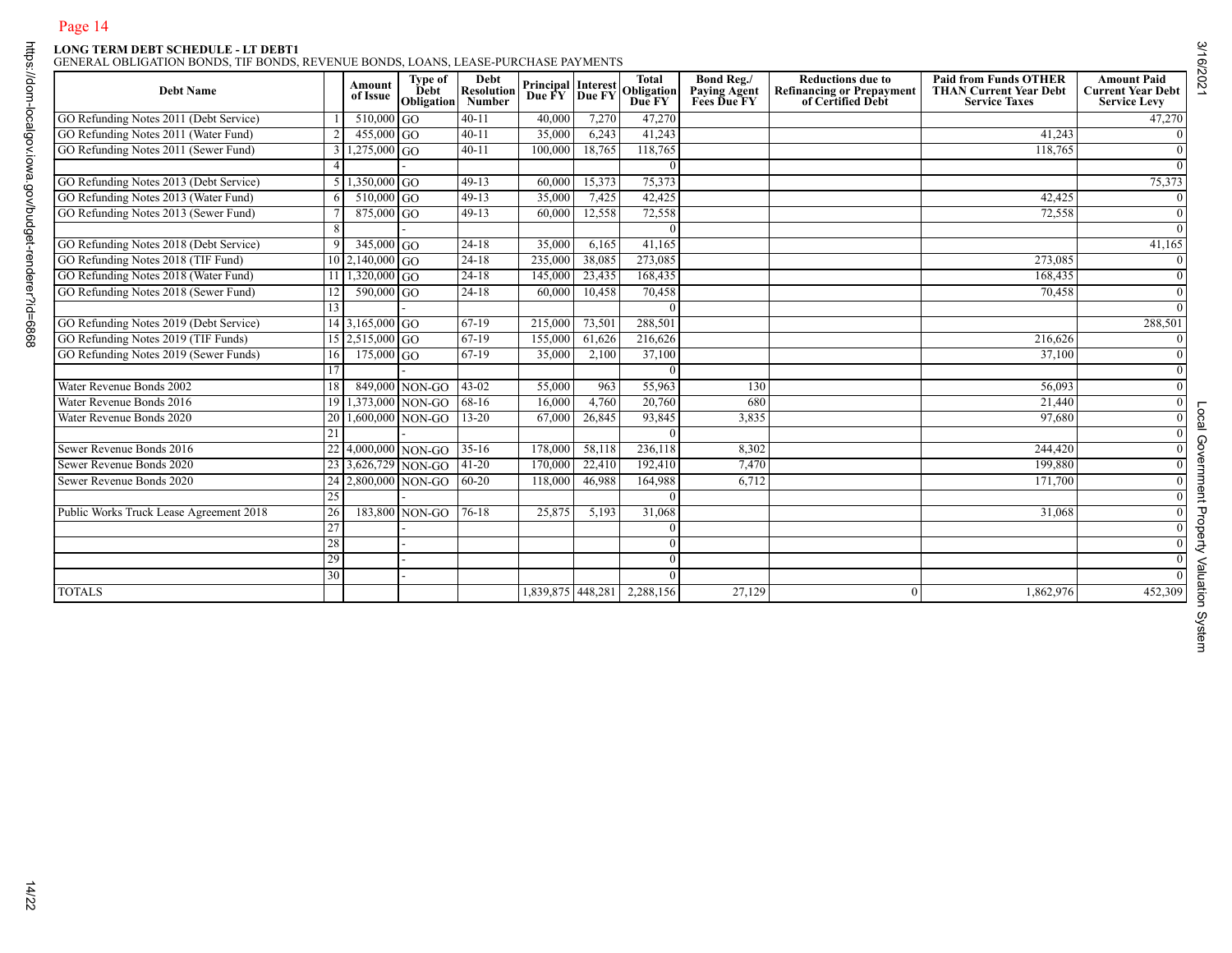| 41,243<br>118,765<br>42,425<br>72,558<br>273,085<br>168,435<br>70,458 | 47,270<br>$\mathbf{0}$<br>$\overline{0}$<br>$\mathbf{0}$<br>75,373<br>$\overline{0}$<br>$\overline{0}$<br>$\mathbf{0}$<br>41,165<br>$\overline{0}$<br>$\mathbf{0}$<br>$\overline{0}$<br>$\mathbf{0}$ |
|-----------------------------------------------------------------------|------------------------------------------------------------------------------------------------------------------------------------------------------------------------------------------------------|
|                                                                       |                                                                                                                                                                                                      |
|                                                                       |                                                                                                                                                                                                      |
|                                                                       |                                                                                                                                                                                                      |
|                                                                       |                                                                                                                                                                                                      |
|                                                                       |                                                                                                                                                                                                      |
|                                                                       |                                                                                                                                                                                                      |
|                                                                       |                                                                                                                                                                                                      |
|                                                                       |                                                                                                                                                                                                      |
|                                                                       |                                                                                                                                                                                                      |
|                                                                       |                                                                                                                                                                                                      |
|                                                                       |                                                                                                                                                                                                      |
|                                                                       |                                                                                                                                                                                                      |
|                                                                       | 288,501                                                                                                                                                                                              |
| 216,626                                                               | $\mathbf{0}$                                                                                                                                                                                         |
| 37,100                                                                | $\overline{0}$                                                                                                                                                                                       |
|                                                                       | $\mathbf{0}$                                                                                                                                                                                         |
| 56,093                                                                | $\overline{0}$                                                                                                                                                                                       |
| 21,440                                                                | $\overline{0}$                                                                                                                                                                                       |
| 97,680                                                                | $\mathbf{0}$                                                                                                                                                                                         |
|                                                                       | $\overline{0}$                                                                                                                                                                                       |
|                                                                       | $\overline{0}$                                                                                                                                                                                       |
| 199,880                                                               | $\overline{0}$                                                                                                                                                                                       |
| 171,700                                                               | $\mathbf{0}$                                                                                                                                                                                         |
|                                                                       | $\overline{0}$                                                                                                                                                                                       |
| 31,068                                                                | $\mathbf{0}$                                                                                                                                                                                         |
|                                                                       | $\overline{0}$                                                                                                                                                                                       |
|                                                                       | $\overline{0}$                                                                                                                                                                                       |
|                                                                       | $\mathbf{0}$                                                                                                                                                                                         |
|                                                                       | $\mathbf{0}$                                                                                                                                                                                         |
|                                                                       | 452,309                                                                                                                                                                                              |
|                                                                       | 244,420<br>1,862,976                                                                                                                                                                                 |

Local Government Property Valuation System

Local Government Property Valuation System

3/16/2021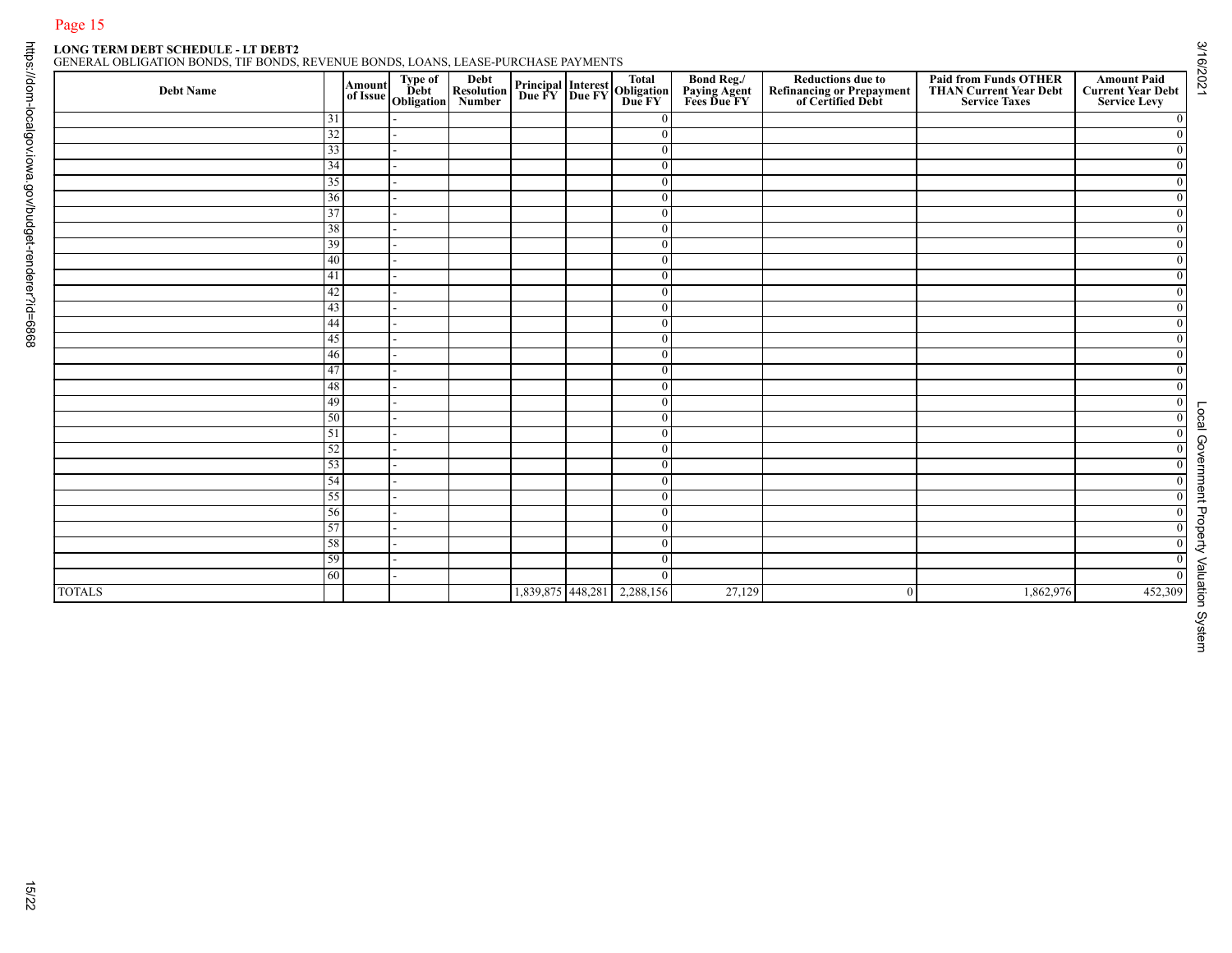| GENERAL OBLIGATION BONDS. TIF BONDS. REVENUE BONDS. LOANS. LEASE-PURCHASE PAYMENTS |  |  |  |  |  |
|------------------------------------------------------------------------------------|--|--|--|--|--|
|                                                                                    |  |  |  |  |  |

|               |          |  | Amount Type of Debt<br>of Issue Obligation<br>Number |                   | <b>Principal Interest Total<br/>Due FY Due FY Due FY</b> | <b>Bond Reg./<br/>Paying Agent<br/>Fees Due FY</b> | <b>Reductions due to<br/>Refinancing or Prepayment<br/>of Certified Debt</b> | <b>Paid from Funds OTHER<br/>THAN Current Year Debt<br/>Service Taxes</b> | <b>Amount Paid</b><br><b>Current Year Debt</b><br><b>Service Levy</b> |
|---------------|----------|--|------------------------------------------------------|-------------------|----------------------------------------------------------|----------------------------------------------------|------------------------------------------------------------------------------|---------------------------------------------------------------------------|-----------------------------------------------------------------------|
|               | 31       |  |                                                      |                   | $\Omega$                                                 |                                                    |                                                                              |                                                                           |                                                                       |
|               | 32       |  |                                                      |                   | $\mathbf{0}$                                             |                                                    |                                                                              |                                                                           |                                                                       |
|               | 33       |  |                                                      |                   | $\overline{0}$                                           |                                                    |                                                                              |                                                                           |                                                                       |
|               | 34       |  |                                                      |                   | $\overline{0}$                                           |                                                    |                                                                              |                                                                           |                                                                       |
|               | 35       |  |                                                      |                   | $\boldsymbol{0}$                                         |                                                    |                                                                              |                                                                           |                                                                       |
|               | 36       |  |                                                      |                   | $\boldsymbol{0}$<br>$\boldsymbol{0}$                     |                                                    |                                                                              |                                                                           |                                                                       |
|               | 37<br>38 |  |                                                      |                   | $\boldsymbol{0}$                                         |                                                    |                                                                              |                                                                           |                                                                       |
|               | 39       |  |                                                      |                   | $\overline{0}$                                           |                                                    |                                                                              |                                                                           |                                                                       |
|               | 40       |  |                                                      |                   | $\mathbf{0}$                                             |                                                    |                                                                              |                                                                           |                                                                       |
|               | 41       |  |                                                      |                   | $\boldsymbol{0}$                                         |                                                    |                                                                              |                                                                           |                                                                       |
|               | 42       |  |                                                      |                   | $\boldsymbol{0}$                                         |                                                    |                                                                              |                                                                           |                                                                       |
|               | 43       |  |                                                      |                   | $\bf{0}$                                                 |                                                    |                                                                              |                                                                           |                                                                       |
|               | 44       |  |                                                      |                   | $\mathbf{0}$                                             |                                                    |                                                                              |                                                                           |                                                                       |
|               | 45       |  |                                                      |                   | $\boldsymbol{0}$                                         |                                                    |                                                                              |                                                                           |                                                                       |
|               | 46       |  |                                                      |                   | $\boldsymbol{0}$                                         |                                                    |                                                                              |                                                                           |                                                                       |
|               | 47       |  |                                                      |                   | $\overline{0}$                                           |                                                    |                                                                              |                                                                           |                                                                       |
|               | 48       |  |                                                      |                   | $\mathbf{0}$                                             |                                                    |                                                                              |                                                                           |                                                                       |
|               | 49<br>50 |  |                                                      |                   | $\overline{0}$                                           |                                                    |                                                                              |                                                                           |                                                                       |
|               | 51       |  |                                                      |                   | $\boldsymbol{0}$<br>$\bf{0}$                             |                                                    |                                                                              |                                                                           |                                                                       |
|               | 52       |  |                                                      |                   | $\boldsymbol{0}$                                         |                                                    |                                                                              |                                                                           |                                                                       |
|               | 53       |  |                                                      |                   | $\mathbf{0}$                                             |                                                    |                                                                              |                                                                           |                                                                       |
|               | 54       |  |                                                      |                   | $\boldsymbol{0}$                                         |                                                    |                                                                              |                                                                           |                                                                       |
|               | 55       |  |                                                      |                   | $\boldsymbol{0}$                                         |                                                    |                                                                              |                                                                           |                                                                       |
|               | 56       |  |                                                      |                   | $\theta$                                                 |                                                    |                                                                              |                                                                           |                                                                       |
|               | 57       |  |                                                      |                   | $\boldsymbol{0}$                                         |                                                    |                                                                              |                                                                           |                                                                       |
|               | 58       |  |                                                      |                   | $\overline{0}$                                           |                                                    |                                                                              |                                                                           |                                                                       |
|               | 59       |  |                                                      |                   | $\mathbf{0}$                                             |                                                    |                                                                              |                                                                           |                                                                       |
|               | 60       |  |                                                      |                   | $\mathbf{0}$                                             |                                                    |                                                                              |                                                                           | 452,309                                                               |
| <b>TOTALS</b> |          |  |                                                      | 1,839,875 448,281 | 2,288,156                                                | 27,129                                             | $\bf{0}$                                                                     | 1,862,976                                                                 |                                                                       |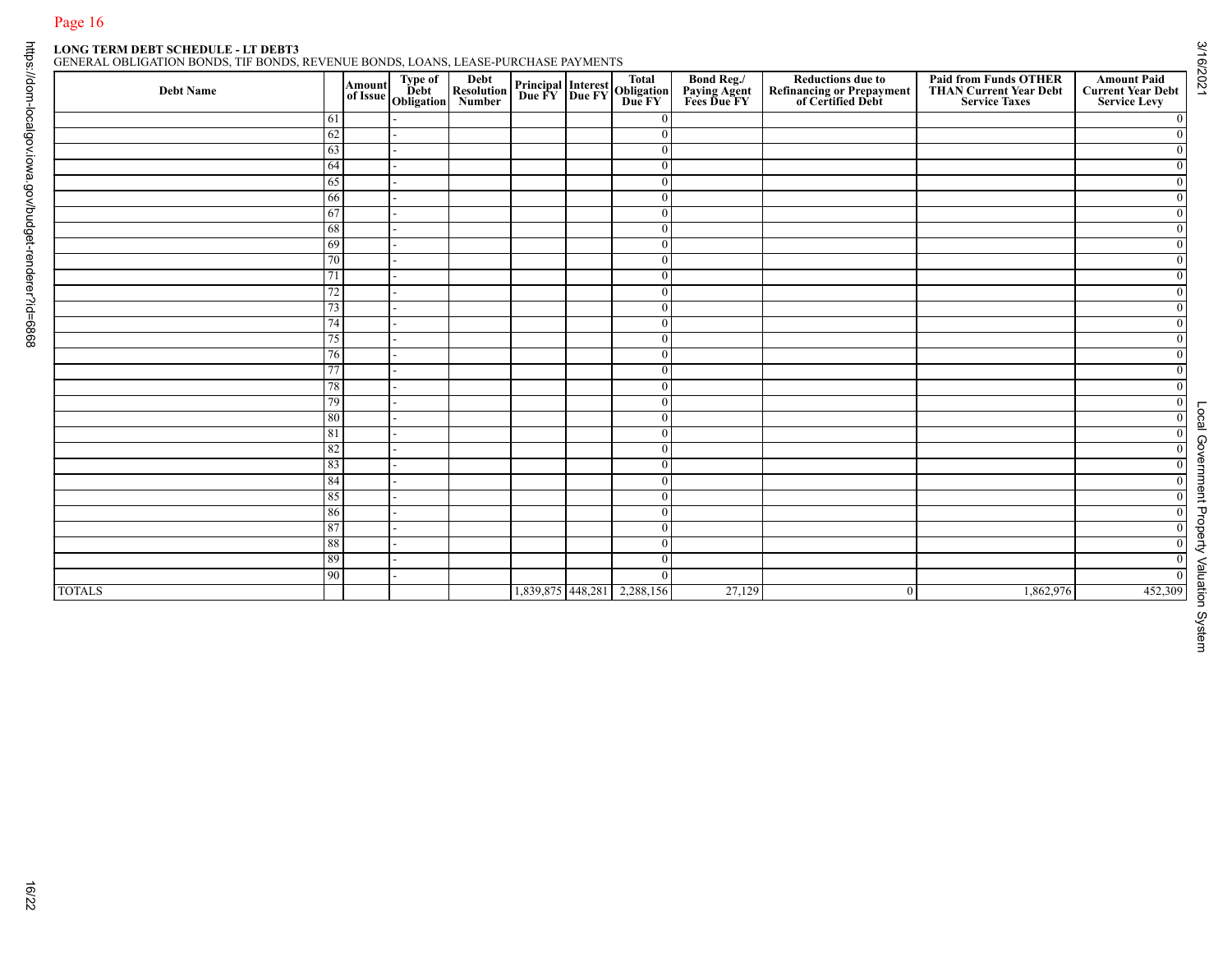## Page 16<br>LONG TERM DEBT SCHEDULE - LT DEBT3<br>GENERAL OBLIGATION BONDS THERONIC

|  |  | ENERAL OBLIGATION BONDS. TIF BONDS. REVENUE BONDS. LOANS. LEASE-PURCHASE PAYMENTS |  |  |  |  |
|--|--|-----------------------------------------------------------------------------------|--|--|--|--|
|--|--|-----------------------------------------------------------------------------------|--|--|--|--|

|               |          | Amount<br>of Issue | Type of<br>Debt<br>Obligation | Debt<br>Resolution<br>Number |                   | <b>Principal Interest Total<br/>Due FY Due FY Due FY</b> | <b>Bond Reg./<br/>Paying Agent<br/>Fees Due FY</b> | <b>Reductions due to<br/>Refinancing or Prepayment<br/>of Certified Debt</b> | <b>Paid from Funds OTHER<br/>THAN Current Year Debt</b><br><b>Service Taxes</b> | <b>Amount Paid</b><br><b>Current Year Debt</b><br><b>Service Levy</b> |
|---------------|----------|--------------------|-------------------------------|------------------------------|-------------------|----------------------------------------------------------|----------------------------------------------------|------------------------------------------------------------------------------|---------------------------------------------------------------------------------|-----------------------------------------------------------------------|
|               | 61       |                    |                               |                              |                   | $\Omega$                                                 |                                                    |                                                                              |                                                                                 | $\bf{0}$                                                              |
|               | 62       |                    |                               |                              |                   | $\overline{0}$                                           |                                                    |                                                                              |                                                                                 | $\overline{0}$                                                        |
|               | 63       |                    |                               |                              |                   | $\overline{0}$<br>$\overline{0}$                         |                                                    |                                                                              |                                                                                 | $\overline{0}$                                                        |
|               | 64<br>65 |                    |                               |                              |                   | $\mathbf{0}$                                             |                                                    |                                                                              |                                                                                 | $\overline{0}$<br>$\mathbf{0}$                                        |
|               | 66       |                    |                               |                              |                   | $\overline{0}$                                           |                                                    |                                                                              |                                                                                 | $\overline{0}$                                                        |
|               | 67       |                    |                               |                              |                   | $\overline{0}$                                           |                                                    |                                                                              |                                                                                 | $\mathbf{0}$                                                          |
|               | 68       |                    |                               |                              |                   | $\overline{0}$                                           |                                                    |                                                                              |                                                                                 | $\overline{0}$                                                        |
|               | 69       |                    |                               |                              |                   | $\mathbf{0}$                                             |                                                    |                                                                              |                                                                                 | $\overline{0}$                                                        |
|               | 70       |                    |                               |                              |                   | $\overline{0}$                                           |                                                    |                                                                              |                                                                                 | $\mathbf{0}$                                                          |
|               | 71       |                    |                               |                              |                   | $\bf{0}$                                                 |                                                    |                                                                              |                                                                                 | $\overline{0}$                                                        |
|               | 72       |                    |                               |                              |                   | $\overline{0}$                                           |                                                    |                                                                              |                                                                                 | $\overline{0}$                                                        |
|               | 73<br>74 |                    |                               |                              |                   | $\mathbf{0}$<br>$\overline{0}$                           |                                                    |                                                                              |                                                                                 | $\mathbf{0}$<br>$\overline{0}$                                        |
|               | 75       |                    |                               |                              |                   | $\mathbf{0}$                                             |                                                    |                                                                              |                                                                                 | $\mathbf{0}$                                                          |
|               | 76       |                    |                               |                              |                   | $\overline{0}$                                           |                                                    |                                                                              |                                                                                 | $\overline{0}$                                                        |
|               | 77       |                    |                               |                              |                   | $\overline{0}$                                           |                                                    |                                                                              |                                                                                 | $\overline{0}$                                                        |
|               | 78       |                    |                               |                              |                   | $\overline{0}$                                           |                                                    |                                                                              |                                                                                 | $\mathbf{0}$                                                          |
|               | 79       |                    |                               |                              |                   | $\bf{0}$                                                 |                                                    |                                                                              |                                                                                 | $\mathbf{0}$                                                          |
|               | 80       |                    |                               |                              |                   | $\overline{0}$                                           |                                                    |                                                                              |                                                                                 | $\overline{0}$                                                        |
|               | 81       |                    |                               |                              |                   | $\overline{0}$                                           |                                                    |                                                                              |                                                                                 | $\mathbf{0}$                                                          |
|               | 82<br>83 |                    |                               |                              |                   | $\mathbf{0}$<br>$\overline{0}$                           |                                                    |                                                                              |                                                                                 | $\overline{0}$<br>$\overline{0}$                                      |
|               | 84       |                    |                               |                              |                   | $\overline{0}$                                           |                                                    |                                                                              |                                                                                 | $\overline{0}$                                                        |
|               | 85       |                    |                               |                              |                   | $\overline{0}$                                           |                                                    |                                                                              |                                                                                 | $\overline{0}$                                                        |
|               | 86       |                    |                               |                              |                   | $\overline{0}$                                           |                                                    |                                                                              |                                                                                 | $\mathbf{0}$                                                          |
|               | 87       |                    |                               |                              |                   | $\overline{0}$                                           |                                                    |                                                                              |                                                                                 | $\overline{0}$                                                        |
|               | $\bf 88$ |                    |                               |                              |                   | $\overline{0}$                                           |                                                    |                                                                              |                                                                                 | $\overline{0}$                                                        |
|               | 89       |                    |                               |                              |                   | $\overline{0}$                                           |                                                    |                                                                              |                                                                                 | $\mathbf{0}$                                                          |
|               | 90       |                    |                               |                              |                   | $\overline{0}$<br>2,288,156                              | 27,129                                             | $\mathbf{0}$                                                                 | 1,862,976                                                                       | $\overline{0}$<br>452,309                                             |
| <b>TOTALS</b> |          |                    |                               |                              | 1,839,875 448,281 |                                                          |                                                    |                                                                              |                                                                                 |                                                                       |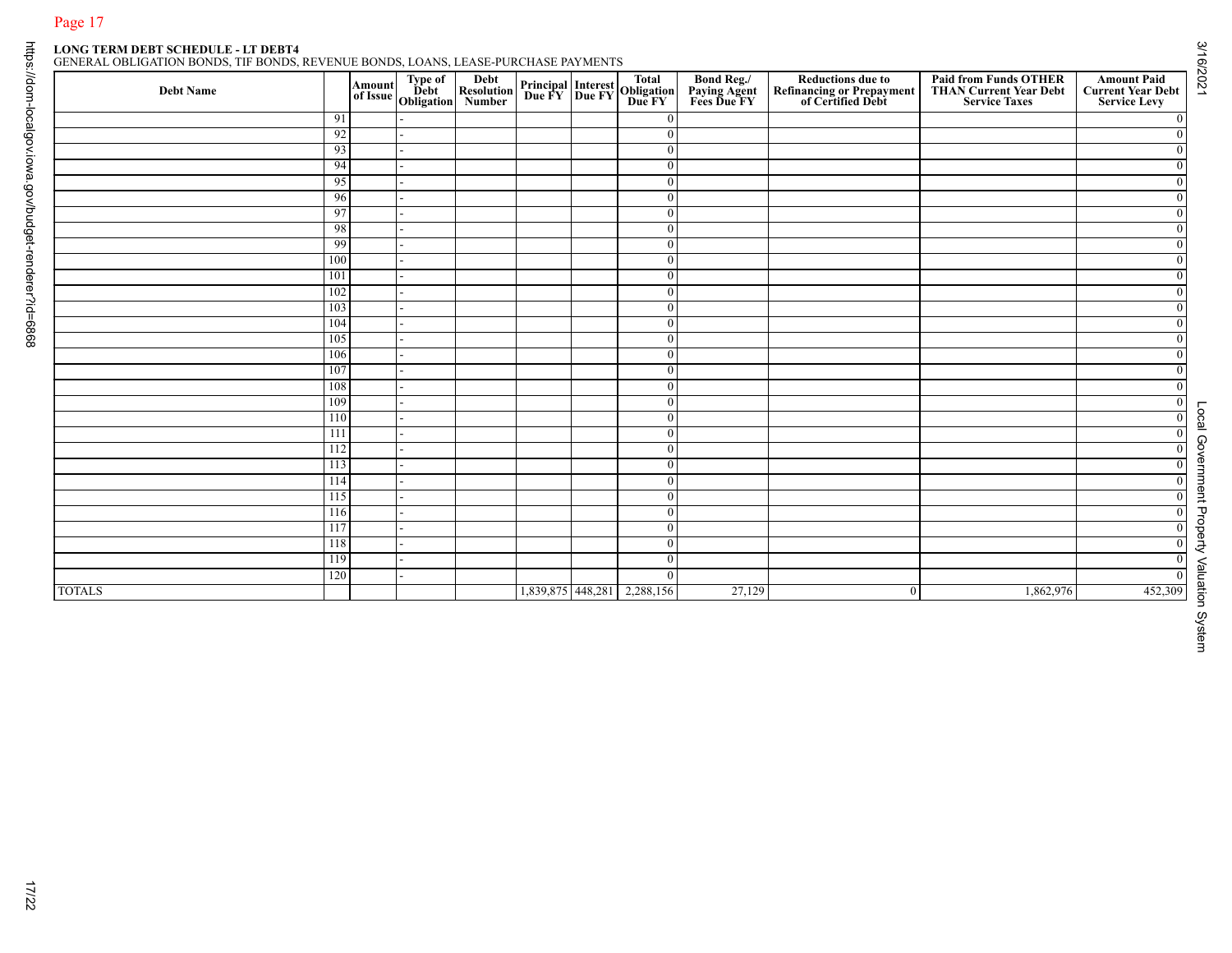| GENERAL OBLIGATION BONDS. TIF BONDS. REVENUE BONDS. LOANS. LEASE-PURCHASE PAYMENTS |  |  |
|------------------------------------------------------------------------------------|--|--|
|                                                                                    |  |  |

|          |                                                                                                                    | Amount<br>of Issue Debt<br>Obligation | Debt<br>Resolution<br>Number |  | <b>Principal Interest Total<br/>Due FY Due FY Due FY</b> | <b>Bond Reg./<br/>Paying Agent<br/>Fees Due FY</b>                                                                                                                                                                                                                            | <b>Reductions due to<br/>Refinancing or Prepayment<br/>of Certified Debt</b> | <b>Paid from Funds OTHER<br/>THAN Current Year Debt</b><br><b>Service Taxes</b> | <b>Amount Paid</b><br><b>Current Year Debt</b><br><b>Service Levy</b> |
|----------|--------------------------------------------------------------------------------------------------------------------|---------------------------------------|------------------------------|--|----------------------------------------------------------|-------------------------------------------------------------------------------------------------------------------------------------------------------------------------------------------------------------------------------------------------------------------------------|------------------------------------------------------------------------------|---------------------------------------------------------------------------------|-----------------------------------------------------------------------|
| 91       |                                                                                                                    |                                       |                              |  | $\overline{0}$                                           |                                                                                                                                                                                                                                                                               |                                                                              |                                                                                 |                                                                       |
| 92       |                                                                                                                    |                                       |                              |  | $\mathbf{0}$                                             |                                                                                                                                                                                                                                                                               |                                                                              |                                                                                 |                                                                       |
| 93<br>94 |                                                                                                                    |                                       |                              |  | $\overline{0}$<br>$\overline{0}$                         |                                                                                                                                                                                                                                                                               |                                                                              |                                                                                 |                                                                       |
| 95       |                                                                                                                    |                                       |                              |  | $\mathbf{0}$                                             |                                                                                                                                                                                                                                                                               |                                                                              |                                                                                 |                                                                       |
| 96       |                                                                                                                    |                                       |                              |  | $\overline{0}$                                           |                                                                                                                                                                                                                                                                               |                                                                              |                                                                                 |                                                                       |
|          |                                                                                                                    |                                       |                              |  | $\overline{0}$                                           |                                                                                                                                                                                                                                                                               |                                                                              |                                                                                 |                                                                       |
| 98       |                                                                                                                    |                                       |                              |  | $\overline{0}$                                           |                                                                                                                                                                                                                                                                               |                                                                              |                                                                                 |                                                                       |
|          |                                                                                                                    |                                       |                              |  | $\overline{0}$                                           |                                                                                                                                                                                                                                                                               |                                                                              |                                                                                 |                                                                       |
| 100      |                                                                                                                    |                                       |                              |  | $\mathbf{0}$                                             |                                                                                                                                                                                                                                                                               |                                                                              |                                                                                 |                                                                       |
|          |                                                                                                                    |                                       |                              |  |                                                          |                                                                                                                                                                                                                                                                               |                                                                              |                                                                                 |                                                                       |
|          |                                                                                                                    |                                       |                              |  |                                                          |                                                                                                                                                                                                                                                                               |                                                                              |                                                                                 |                                                                       |
|          |                                                                                                                    |                                       |                              |  |                                                          |                                                                                                                                                                                                                                                                               |                                                                              |                                                                                 |                                                                       |
|          |                                                                                                                    |                                       |                              |  |                                                          |                                                                                                                                                                                                                                                                               |                                                                              |                                                                                 |                                                                       |
|          |                                                                                                                    |                                       |                              |  |                                                          |                                                                                                                                                                                                                                                                               |                                                                              |                                                                                 |                                                                       |
|          |                                                                                                                    |                                       |                              |  |                                                          |                                                                                                                                                                                                                                                                               |                                                                              |                                                                                 |                                                                       |
|          |                                                                                                                    |                                       |                              |  | $\mathbf{0}$                                             |                                                                                                                                                                                                                                                                               |                                                                              |                                                                                 |                                                                       |
| 109      |                                                                                                                    |                                       |                              |  | $\overline{0}$                                           |                                                                                                                                                                                                                                                                               |                                                                              |                                                                                 |                                                                       |
| 110      |                                                                                                                    |                                       |                              |  | $\overline{0}$                                           |                                                                                                                                                                                                                                                                               |                                                                              |                                                                                 |                                                                       |
| 111      |                                                                                                                    |                                       |                              |  | $\overline{0}$                                           |                                                                                                                                                                                                                                                                               |                                                                              |                                                                                 |                                                                       |
|          |                                                                                                                    |                                       |                              |  |                                                          |                                                                                                                                                                                                                                                                               |                                                                              |                                                                                 |                                                                       |
|          |                                                                                                                    |                                       |                              |  |                                                          |                                                                                                                                                                                                                                                                               |                                                                              |                                                                                 |                                                                       |
|          |                                                                                                                    |                                       |                              |  |                                                          |                                                                                                                                                                                                                                                                               |                                                                              |                                                                                 |                                                                       |
|          |                                                                                                                    |                                       |                              |  |                                                          |                                                                                                                                                                                                                                                                               |                                                                              |                                                                                 |                                                                       |
|          |                                                                                                                    |                                       |                              |  |                                                          |                                                                                                                                                                                                                                                                               |                                                                              |                                                                                 |                                                                       |
|          |                                                                                                                    |                                       |                              |  |                                                          |                                                                                                                                                                                                                                                                               |                                                                              |                                                                                 | $\overline{0}$                                                        |
|          |                                                                                                                    |                                       |                              |  | $\mathbf{0}$                                             |                                                                                                                                                                                                                                                                               |                                                                              |                                                                                 |                                                                       |
|          |                                                                                                                    |                                       |                              |  | $\mathbf{0}$                                             |                                                                                                                                                                                                                                                                               |                                                                              |                                                                                 |                                                                       |
|          |                                                                                                                    |                                       |                              |  |                                                          | 27,129                                                                                                                                                                                                                                                                        |                                                                              | 1,862,976                                                                       | 452,309                                                               |
|          | 97<br>101<br>102<br>103<br>104<br>105<br>106<br>107<br>108<br>112<br>113<br>114<br>115<br>116<br>117<br>118<br>119 | 99<br>120                             |                              |  |                                                          | $\overline{0}$<br>$\overline{0}$<br>$\overline{0}$<br>$\overline{0}$<br>$\overline{0}$<br>$\overline{0}$<br>$\overline{0}$<br>$\overline{0}$<br>$\mathbf{0}$<br>$\mathbf{0}$<br>$\overline{0}$<br>$\mathbf{0}$<br>$\mathbf{0}$<br>$\mathbf{0}$<br>1,839,875 448,281 2,288,156 |                                                                              | $\mathbf{0}$                                                                    |                                                                       |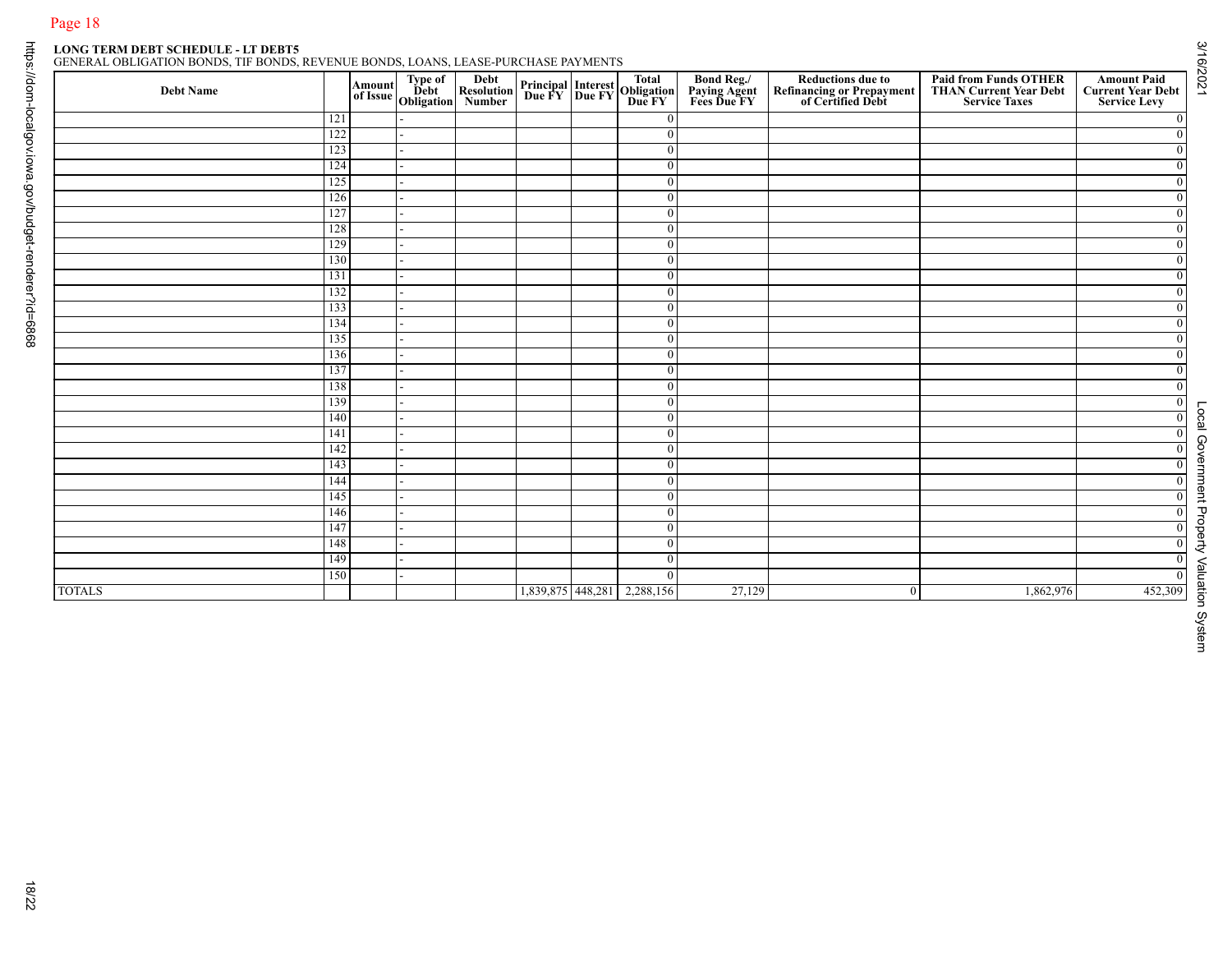|               |            |  | Amount Type of Debt<br>of Issue Obligation<br>Number |                             | <b>Principal Interest Total<br/>Due FY Due FY Due FY</b> | <b>Bond Reg./<br/>Paying Agent<br/>Fees Due FY</b> | <b>Reductions due to<br/>Refinancing or Prepayment<br/>of Certified Debt</b> | <b>Paid from Funds OTHER<br/>THAN Current Year Debt</b><br><b>Service Taxes</b> | <b>Amount Paid</b><br><b>Current Year Debt</b><br><b>Service Levy</b> |
|---------------|------------|--|------------------------------------------------------|-----------------------------|----------------------------------------------------------|----------------------------------------------------|------------------------------------------------------------------------------|---------------------------------------------------------------------------------|-----------------------------------------------------------------------|
|               | 121        |  |                                                      |                             | $\mathbf{0}$                                             |                                                    |                                                                              |                                                                                 |                                                                       |
|               | 122        |  |                                                      |                             | $\overline{0}$                                           |                                                    |                                                                              |                                                                                 | $\overline{0}$                                                        |
|               | 123        |  |                                                      |                             | $\overline{0}$                                           |                                                    |                                                                              |                                                                                 | $\overline{0}$                                                        |
|               | 124        |  |                                                      |                             | $\overline{0}$                                           |                                                    |                                                                              |                                                                                 | $\overline{0}$                                                        |
|               | 125        |  |                                                      |                             | $\overline{0}$<br>$\mathbf{0}$                           |                                                    |                                                                              |                                                                                 | $\mathbf{0}$<br>$\overline{0}$                                        |
|               | 126<br>127 |  |                                                      |                             | $\mathbf{0}$                                             |                                                    |                                                                              |                                                                                 | $\overline{0}$                                                        |
|               | 128        |  |                                                      |                             | $\overline{0}$                                           |                                                    |                                                                              |                                                                                 | $\overline{0}$                                                        |
|               | 129        |  |                                                      |                             | $\overline{0}$                                           |                                                    |                                                                              |                                                                                 | $\overline{0}$                                                        |
|               | 130        |  |                                                      |                             | $\overline{0}$                                           |                                                    |                                                                              |                                                                                 | $\overline{0}$                                                        |
|               | 131        |  |                                                      |                             | $\mathbf{0}$                                             |                                                    |                                                                              |                                                                                 | $\mathbf{0}$                                                          |
|               | 132        |  |                                                      |                             | $\mathbf{0}$                                             |                                                    |                                                                              |                                                                                 | $\overline{0}$                                                        |
|               | 133        |  |                                                      |                             | $\overline{0}$                                           |                                                    |                                                                              |                                                                                 | $\overline{0}$                                                        |
|               | 134        |  |                                                      |                             | $\overline{0}$                                           |                                                    |                                                                              |                                                                                 | $\overline{0}$                                                        |
|               | 135        |  |                                                      |                             | $\mathbf{0}$                                             |                                                    |                                                                              |                                                                                 | $\mathbf{0}$                                                          |
|               | 136        |  |                                                      |                             | $\overline{0}$                                           |                                                    |                                                                              |                                                                                 | $\overline{0}$                                                        |
|               | 137        |  |                                                      |                             | $\overline{0}$                                           |                                                    |                                                                              |                                                                                 | $\overline{0}$                                                        |
|               | 138        |  |                                                      |                             | $\overline{0}$                                           |                                                    |                                                                              |                                                                                 | $\mathbf{0}$                                                          |
|               | 139<br>140 |  |                                                      |                             | $\overline{0}$<br>$\overline{0}$                         |                                                    |                                                                              |                                                                                 | $\overline{0}$<br>$\overline{0}$                                      |
|               | 141        |  |                                                      |                             | $\overline{0}$                                           |                                                    |                                                                              |                                                                                 | $\overline{0}$                                                        |
|               | 142        |  |                                                      |                             | $\mathbf{0}$                                             |                                                    |                                                                              |                                                                                 | $\overline{0}$                                                        |
|               | 143        |  |                                                      |                             | $\mathbf{0}$                                             |                                                    |                                                                              |                                                                                 | $\overline{0}$                                                        |
|               | 144        |  |                                                      |                             | $\overline{0}$                                           |                                                    |                                                                              |                                                                                 | $\overline{0}$                                                        |
|               | 145        |  |                                                      |                             | $\overline{0}$                                           |                                                    |                                                                              |                                                                                 | $\overline{0}$                                                        |
|               | 146        |  |                                                      |                             | $\overline{0}$                                           |                                                    |                                                                              |                                                                                 | $\overline{0}$                                                        |
|               | 147        |  |                                                      |                             | $\overline{0}$                                           |                                                    |                                                                              |                                                                                 | $\overline{0}$                                                        |
|               | 148        |  |                                                      |                             | $\mathbf{0}$                                             |                                                    |                                                                              |                                                                                 | $\overline{0}$                                                        |
|               | 149        |  |                                                      |                             | $\boldsymbol{0}$                                         |                                                    |                                                                              |                                                                                 | $\overline{0}$                                                        |
|               | 150        |  |                                                      |                             | $\bf{0}$                                                 |                                                    |                                                                              |                                                                                 | $\overline{0}$                                                        |
| <b>TOTALS</b> |            |  |                                                      | 1,839,875 448,281 2,288,156 |                                                          | 27,129                                             | $\mathbf{0}$                                                                 | 1,862,976                                                                       | 452,309                                                               |

Local Government Property Valuation System Local Government Property Valuation System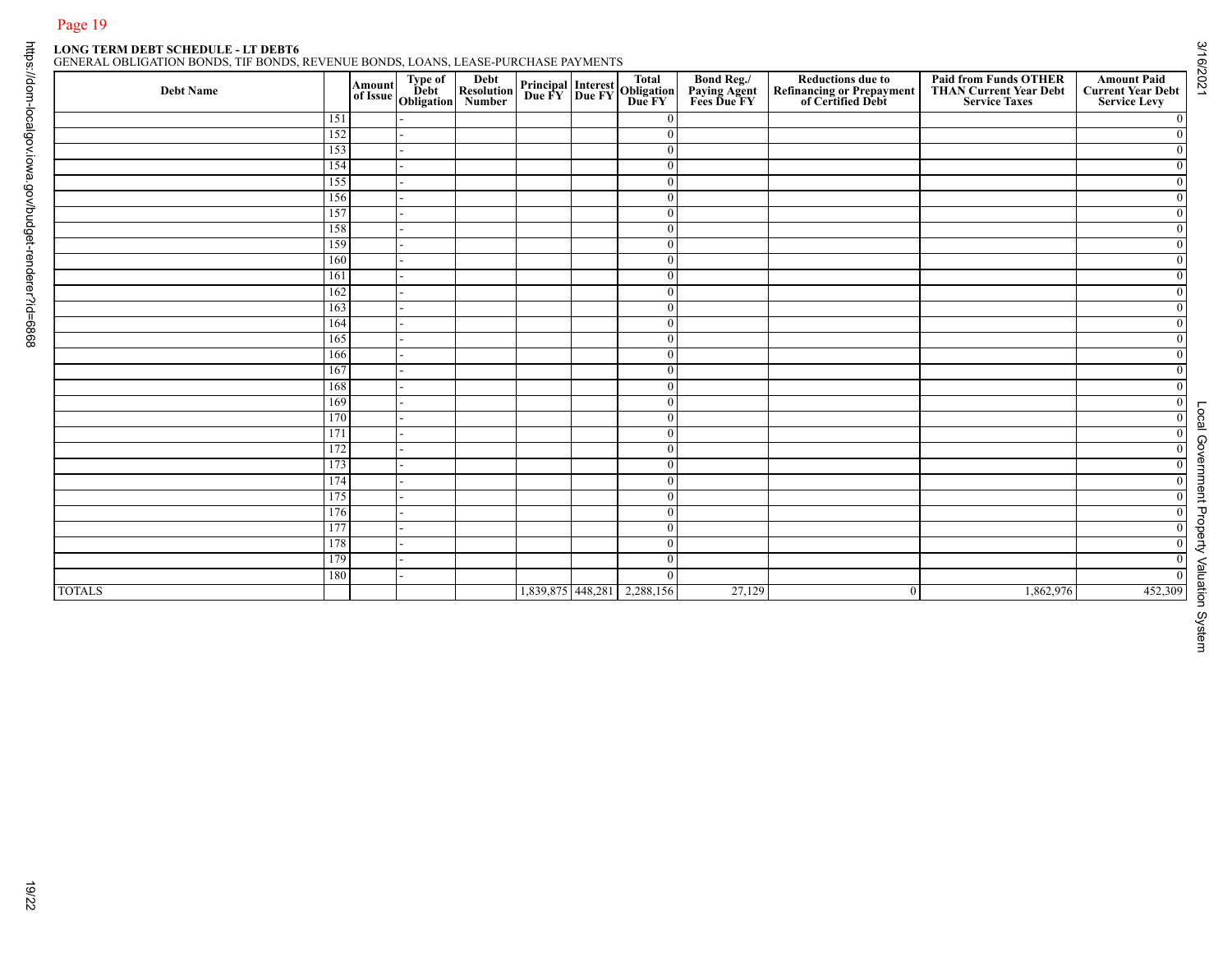## Page 19<br>LONG TERM DEBT SCHEDULE - LT DEBT6<br>GENERAL OBLIGATION BONDS THERONICS

| Type of<br>Debt<br>Obligation<br>151<br>152<br>153<br>154<br>155<br>156<br>157<br>158<br>159<br>160<br>161<br>162<br>163<br>164<br>165<br>166<br>167<br>168 | Debt<br>Resolution<br>Number | <b>Principal Interest Total<br/>Due FY Due FY Due FY</b> | $\boldsymbol{0}$<br>$\overline{0}$<br>$\bf{0}$<br>$\bf{0}$<br>$\bf{0}$<br>$\boldsymbol{0}$<br>$\bf{0}$<br>$\bf{0}$<br>$\bf{0}$<br>$\boldsymbol{0}$<br>$\overline{0}$<br>$\bf{0}$<br>$\bf{0}$ | <b>Bond Reg./<br/>Paying Agent<br/>Fees Due FY</b> | <b>Reductions due to<br/>Refinancing or Prepayment<br/>of Certified Debt</b> | <b>Paid from Funds OTHER<br/>THAN Current Year Debt<br/>Service Taxes</b> |         |
|-------------------------------------------------------------------------------------------------------------------------------------------------------------|------------------------------|----------------------------------------------------------|----------------------------------------------------------------------------------------------------------------------------------------------------------------------------------------------|----------------------------------------------------|------------------------------------------------------------------------------|---------------------------------------------------------------------------|---------|
|                                                                                                                                                             |                              |                                                          |                                                                                                                                                                                              |                                                    |                                                                              |                                                                           |         |
|                                                                                                                                                             |                              |                                                          |                                                                                                                                                                                              |                                                    |                                                                              |                                                                           |         |
|                                                                                                                                                             |                              |                                                          |                                                                                                                                                                                              |                                                    |                                                                              |                                                                           |         |
|                                                                                                                                                             |                              |                                                          |                                                                                                                                                                                              |                                                    |                                                                              |                                                                           |         |
|                                                                                                                                                             |                              |                                                          |                                                                                                                                                                                              |                                                    |                                                                              |                                                                           |         |
|                                                                                                                                                             |                              |                                                          |                                                                                                                                                                                              |                                                    |                                                                              |                                                                           |         |
|                                                                                                                                                             |                              |                                                          |                                                                                                                                                                                              |                                                    |                                                                              |                                                                           |         |
|                                                                                                                                                             |                              |                                                          |                                                                                                                                                                                              |                                                    |                                                                              |                                                                           |         |
|                                                                                                                                                             |                              |                                                          |                                                                                                                                                                                              |                                                    |                                                                              |                                                                           |         |
|                                                                                                                                                             |                              |                                                          |                                                                                                                                                                                              |                                                    |                                                                              |                                                                           |         |
|                                                                                                                                                             |                              |                                                          |                                                                                                                                                                                              |                                                    |                                                                              |                                                                           |         |
|                                                                                                                                                             |                              |                                                          |                                                                                                                                                                                              |                                                    |                                                                              |                                                                           |         |
|                                                                                                                                                             |                              |                                                          | $\boldsymbol{0}$                                                                                                                                                                             |                                                    |                                                                              |                                                                           |         |
|                                                                                                                                                             |                              |                                                          | $\bf{0}$                                                                                                                                                                                     |                                                    |                                                                              |                                                                           |         |
|                                                                                                                                                             |                              |                                                          | $\bf{0}$                                                                                                                                                                                     |                                                    |                                                                              |                                                                           |         |
|                                                                                                                                                             |                              |                                                          | $\bf{0}$                                                                                                                                                                                     |                                                    |                                                                              |                                                                           |         |
|                                                                                                                                                             |                              |                                                          | $\mathbf{0}$                                                                                                                                                                                 |                                                    |                                                                              |                                                                           |         |
| 169<br>170                                                                                                                                                  |                              |                                                          | $\bf{0}$<br>$\bf{0}$                                                                                                                                                                         |                                                    |                                                                              |                                                                           |         |
| 171                                                                                                                                                         |                              |                                                          | $\bf{0}$                                                                                                                                                                                     |                                                    |                                                                              |                                                                           |         |
| 172                                                                                                                                                         |                              |                                                          | $\boldsymbol{0}$                                                                                                                                                                             |                                                    |                                                                              |                                                                           |         |
| 173                                                                                                                                                         |                              |                                                          | $\boldsymbol{0}$                                                                                                                                                                             |                                                    |                                                                              |                                                                           |         |
| 174                                                                                                                                                         |                              |                                                          | $\bf{0}$                                                                                                                                                                                     |                                                    |                                                                              |                                                                           |         |
| 175                                                                                                                                                         |                              |                                                          | $\bf{0}$                                                                                                                                                                                     |                                                    |                                                                              |                                                                           |         |
| 176                                                                                                                                                         |                              |                                                          | $\bf{0}$                                                                                                                                                                                     |                                                    |                                                                              |                                                                           |         |
| 177                                                                                                                                                         |                              |                                                          | $\boldsymbol{0}$                                                                                                                                                                             |                                                    |                                                                              |                                                                           |         |
| 178                                                                                                                                                         |                              |                                                          | $\boldsymbol{0}$                                                                                                                                                                             |                                                    |                                                                              |                                                                           |         |
| 179                                                                                                                                                         |                              |                                                          | $\bf{0}$                                                                                                                                                                                     |                                                    |                                                                              |                                                                           |         |
| 180                                                                                                                                                         |                              |                                                          | $\mathbf{0}$                                                                                                                                                                                 |                                                    |                                                                              |                                                                           |         |
| <b>TOTALS</b>                                                                                                                                               |                              | 1,839,875 448,281                                        | 2,288,156                                                                                                                                                                                    | 27,129                                             | $\overline{0}$                                                               | 1,862,976                                                                 | 452,309 |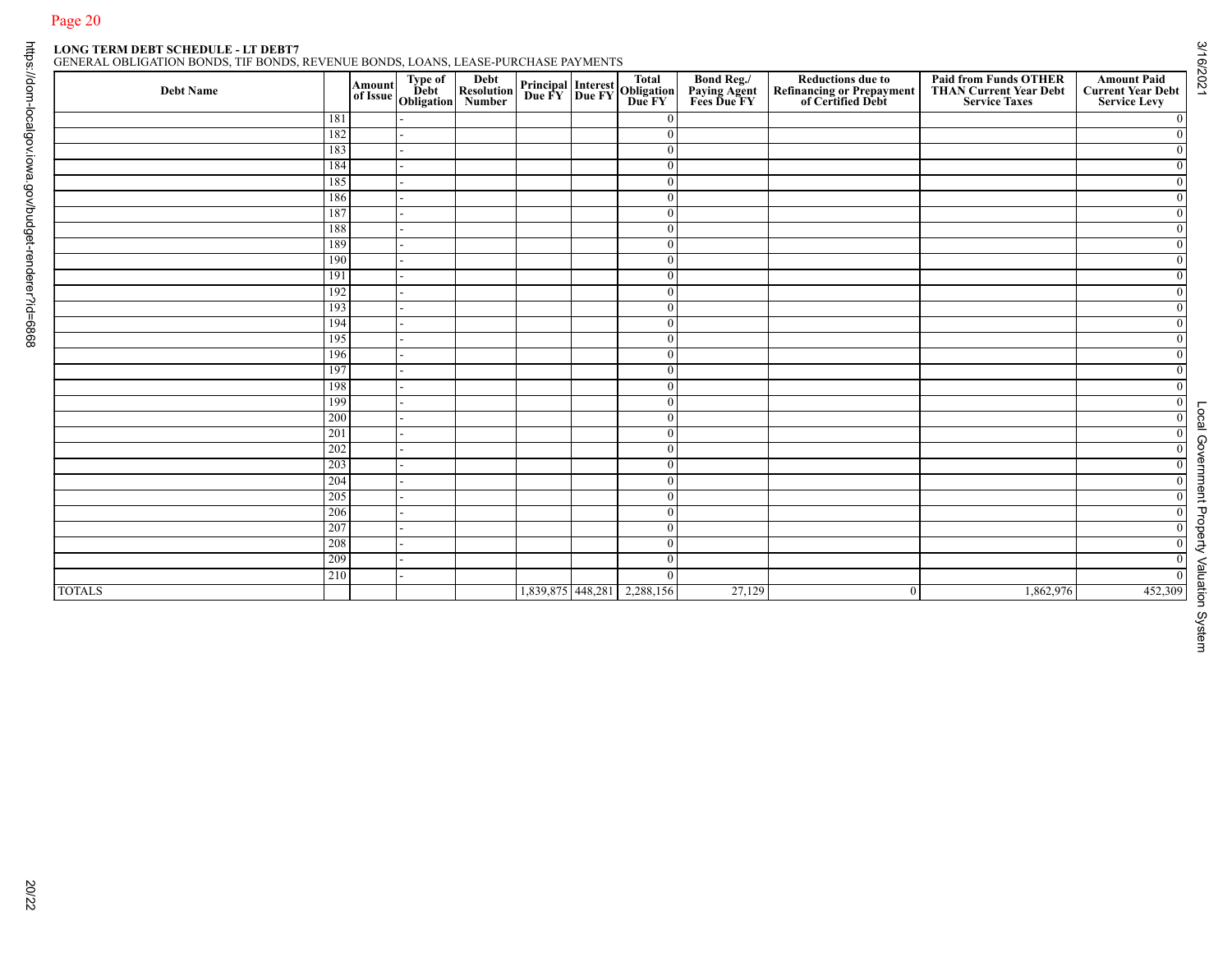## Page 20<br>LONG TERM DEBT SCHEDULE - LT DEBT7<br>GENERAL OBLIGATION BONDS THE BOULT

|--|

|               |            |  | Amount Type of Debt<br>of Issue Obligation<br>Number |                             | <b>Principal Interest Total<br/>Due FY Due FY Due FY</b> | <b>Bond Reg./<br/>Paying Agent<br/>Fees Due FY</b> | <b>Reductions due to<br/>Refinancing or Prepayment<br/>of Certified Debt</b> | <b>Paid from Funds OTHER<br/>THAN Current Year Debt</b><br><b>Service Taxes</b> | <b>Amount Paid</b><br><b>Current Year Debt</b><br><b>Service Levy</b> |
|---------------|------------|--|------------------------------------------------------|-----------------------------|----------------------------------------------------------|----------------------------------------------------|------------------------------------------------------------------------------|---------------------------------------------------------------------------------|-----------------------------------------------------------------------|
|               | 181        |  |                                                      |                             | $\mathbf{0}$                                             |                                                    |                                                                              |                                                                                 | $\mathbf{0}$                                                          |
|               | 182        |  |                                                      |                             | $\overline{0}$                                           |                                                    |                                                                              |                                                                                 | $\overline{0}$                                                        |
|               | 183        |  |                                                      |                             | $\overline{0}$                                           |                                                    |                                                                              |                                                                                 | $\overline{0}$                                                        |
|               | 184<br>185 |  |                                                      |                             | $\overline{0}$                                           |                                                    |                                                                              |                                                                                 | $\overline{0}$                                                        |
|               | 186        |  |                                                      |                             | $\overline{0}$<br>$\mathbf{0}$                           |                                                    |                                                                              |                                                                                 | $\mathbf{0}$<br>$\overline{0}$                                        |
|               | 187        |  |                                                      |                             | $\mathbf{0}$                                             |                                                    |                                                                              |                                                                                 | $\overline{0}$                                                        |
|               | 188        |  |                                                      |                             | $\overline{0}$                                           |                                                    |                                                                              |                                                                                 | $\overline{0}$                                                        |
|               | 189        |  |                                                      |                             | $\overline{0}$                                           |                                                    |                                                                              |                                                                                 | $\overline{0}$                                                        |
|               | 190        |  |                                                      |                             | $\overline{0}$                                           |                                                    |                                                                              |                                                                                 | $\overline{0}$                                                        |
|               | 191        |  |                                                      |                             | $\mathbf{0}$                                             |                                                    |                                                                              |                                                                                 | $\mathbf{0}$                                                          |
|               | 192        |  |                                                      |                             | $\mathbf{0}$                                             |                                                    |                                                                              |                                                                                 | $\overline{0}$                                                        |
|               | 193        |  |                                                      |                             | $\overline{0}$                                           |                                                    |                                                                              |                                                                                 | $\overline{0}$                                                        |
|               | 194        |  |                                                      |                             | $\overline{0}$                                           |                                                    |                                                                              |                                                                                 | $\overline{0}$                                                        |
|               | 195        |  |                                                      |                             | $\mathbf{0}$                                             |                                                    |                                                                              |                                                                                 | $\mathbf{0}$                                                          |
|               | 196        |  |                                                      |                             | $\overline{0}$                                           |                                                    |                                                                              |                                                                                 | $\overline{0}$                                                        |
|               | 197<br>198 |  |                                                      |                             | $\overline{0}$<br>$\overline{0}$                         |                                                    |                                                                              |                                                                                 | $\overline{0}$                                                        |
|               | 199        |  |                                                      |                             | $\overline{0}$                                           |                                                    |                                                                              |                                                                                 | $\mathbf{0}$<br>$\overline{0}$                                        |
|               | 200        |  |                                                      |                             | $\overline{0}$                                           |                                                    |                                                                              |                                                                                 | $\overline{0}$                                                        |
|               | 201        |  |                                                      |                             | $\overline{0}$                                           |                                                    |                                                                              |                                                                                 | $\overline{0}$                                                        |
|               | 202        |  |                                                      |                             | $\mathbf{0}$                                             |                                                    |                                                                              |                                                                                 | $\overline{0}$                                                        |
|               | 203        |  |                                                      |                             | $\mathbf{0}$                                             |                                                    |                                                                              |                                                                                 | $\overline{0}$                                                        |
|               | 204        |  |                                                      |                             | $\overline{0}$                                           |                                                    |                                                                              |                                                                                 | $\overline{0}$                                                        |
|               | 205        |  |                                                      |                             | $\overline{0}$                                           |                                                    |                                                                              |                                                                                 | $\overline{0}$                                                        |
|               | 206        |  |                                                      |                             | $\overline{0}$                                           |                                                    |                                                                              |                                                                                 | $\overline{0}$                                                        |
|               | 207        |  |                                                      |                             | $\overline{0}$                                           |                                                    |                                                                              |                                                                                 | $\overline{0}$                                                        |
|               | 208        |  |                                                      |                             | $\overline{0}$                                           |                                                    |                                                                              |                                                                                 | $\overline{0}$                                                        |
|               | 209        |  |                                                      |                             | $\boldsymbol{0}$                                         |                                                    |                                                                              |                                                                                 | $\overline{0}$                                                        |
|               | 210        |  |                                                      |                             | $\bf{0}$                                                 | 27,129                                             |                                                                              | 1,862,976                                                                       | $\overline{0}$<br>452,309                                             |
| <b>TOTALS</b> |            |  |                                                      | 1,839,875 448,281 2,288,156 |                                                          |                                                    | $\mathbf{0}$                                                                 |                                                                                 |                                                                       |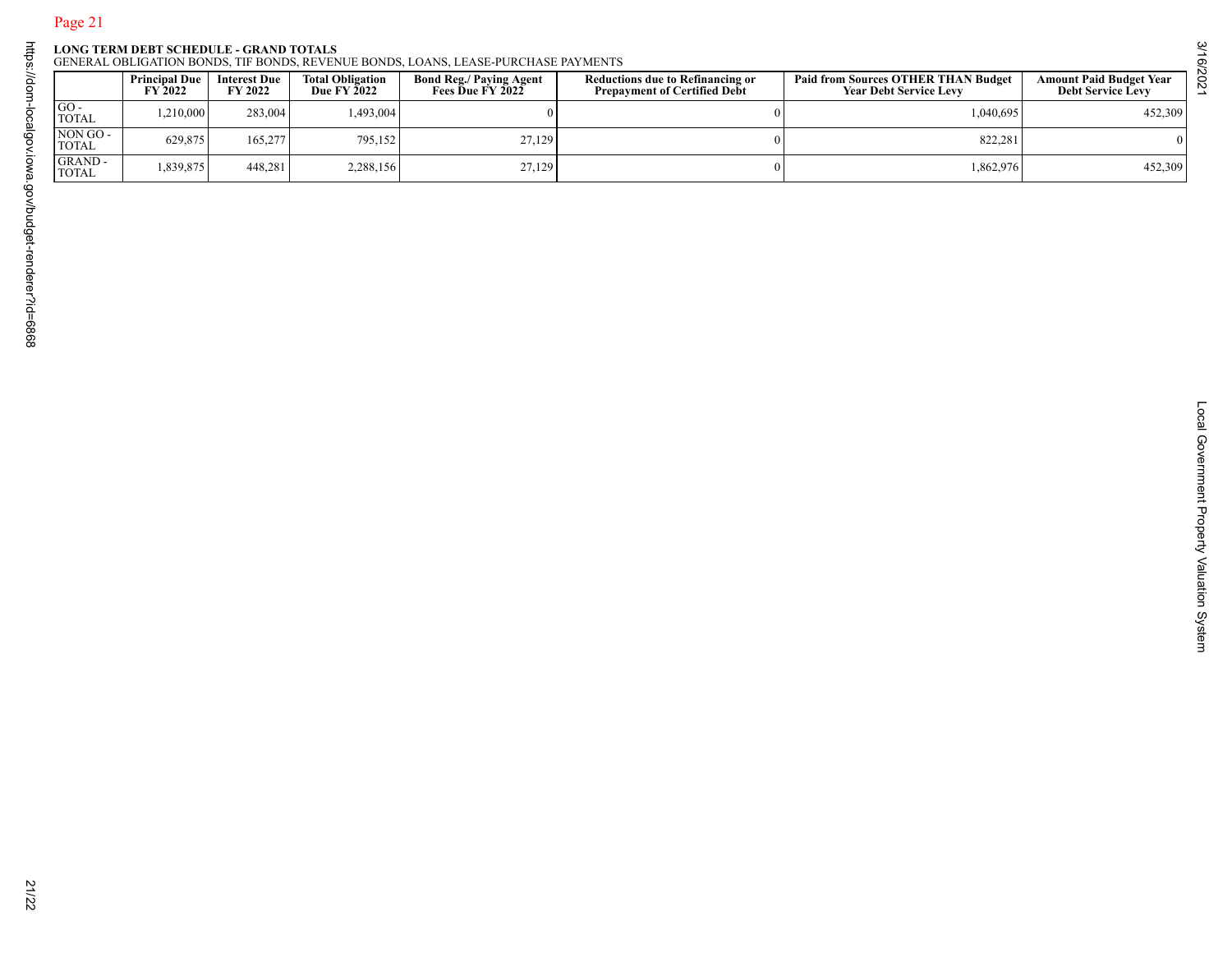|  |  |  |  |  | GENERAL OBLIGATION BONDS. TIF BONDS. REVENUE BONDS. LOANS. LEASE-PURCHASE PAYMENT |  |  |  |
|--|--|--|--|--|-----------------------------------------------------------------------------------|--|--|--|

| 1,210,000<br>629,875<br>1,839,875 | Interest Due<br>FY 2022<br>283,004<br>165,277 | Total Obligation<br>Due FY 2022<br>1,493,004 | <b>Bond Reg./ Paying Agent<br/>Fees Due FY 2022</b><br>$\mathbf{0}$ | <b>Reductions due to Refinancing or<br/>Prepayment of Certified Debt</b><br>$\boldsymbol{0}$ | <b>Paid from Sources OTHER THAN Budget<br/>Year Debt Service Levy</b> | <b>Amount Paid Budget Year<br/>Debt Service Levy</b> |
|-----------------------------------|-----------------------------------------------|----------------------------------------------|---------------------------------------------------------------------|----------------------------------------------------------------------------------------------|-----------------------------------------------------------------------|------------------------------------------------------|
|                                   |                                               |                                              |                                                                     |                                                                                              | 1,040,695                                                             | 452,309                                              |
|                                   |                                               | 795,152                                      | 27,129                                                              |                                                                                              | 822,281                                                               | $\Omega$                                             |
|                                   | 448,281                                       | 2,288,156                                    | 27,129                                                              | $\mathbf{0}$                                                                                 | 1,862,976                                                             | 452,309                                              |
|                                   |                                               |                                              |                                                                     |                                                                                              |                                                                       |                                                      |
|                                   |                                               |                                              |                                                                     |                                                                                              |                                                                       |                                                      |
|                                   |                                               |                                              |                                                                     |                                                                                              |                                                                       |                                                      |